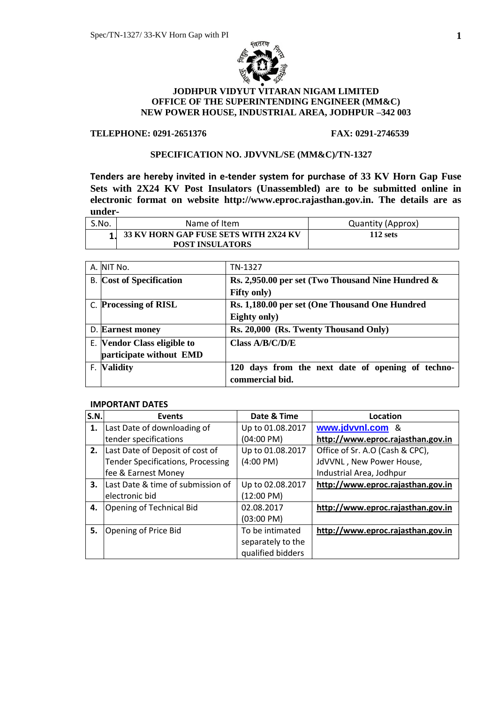

## **JODHPUR VIDYUT VITARAN NIGAM LIMITED OFFICE OF THE SUPERINTENDING ENGINEER (MM&C) NEW POWER HOUSE, INDUSTRIAL AREA, JODHPUR –342 003**

## **TELEPHONE: 0291-2651376 FAX: 0291-2746539**

## **SPECIFICATION NO. JDVVNL/SE (MM&C)/TN-1327**

**Tenders are hereby invited in e-tender system for purchase of 33 KV Horn Gap Fuse Sets with 2X24 KV Post Insulators (Unassembled) are to be submitted online in electronic format on website http://www.eproc.rajasthan.gov.in. The details are as under-**

| S.No. | Name of Item                                                      | Quantity (Approx) |
|-------|-------------------------------------------------------------------|-------------------|
|       | 1 33 KV HORN GAP FUSE SETS WITH 2X24 KV<br><b>POST INSULATORS</b> | $112$ sets        |

| A. NIT No.                      | TN-1327                                              |
|---------------------------------|------------------------------------------------------|
| <b>B.</b> Cost of Specification | Rs. 2,950.00 per set (Two Thousand Nine Hundred $\&$ |
|                                 | <b>Fifty only)</b>                                   |
| C. Processing of RISL           | Rs. 1,180.00 per set (One Thousand One Hundred       |
|                                 | Eighty only)                                         |
| D. Earnest money                | Rs. 20,000 (Rs. Twenty Thousand Only)                |
| E. Vendor Class eligible to     | Class $A/B/C/D/E$                                    |
| participate without EMD         |                                                      |
| F. Validity                     | 120 days from the next date of opening of techno-    |
|                                 | commercial bid.                                      |

#### **IMPORTANT DATES**

| S.N. | <b>Events</b>                            | Date & Time          | Location                          |
|------|------------------------------------------|----------------------|-----------------------------------|
| 1.   | Last Date of downloading of              | Up to 01.08.2017     | www.jdvvnl.com<br>୍ଷ              |
|      | tender specifications                    | (04:00 PM)           | http://www.eproc.rajasthan.gov.in |
| 2.   | Last Date of Deposit of cost of          | Up to 01.08.2017     | Office of Sr. A.O (Cash & CPC),   |
|      | <b>Tender Specifications, Processing</b> | $(4:00 \text{ PM})$  | JdVVNL, New Power House,          |
|      | fee & Earnest Money                      |                      | Industrial Area, Jodhpur          |
| 3.   | Last Date & time of submission of        | Up to 02.08.2017     | http://www.eproc.rajasthan.gov.in |
|      | electronic bid                           | (12:00 P M)          |                                   |
| 4.   | <b>Opening of Technical Bid</b>          | 02.08.2017           | http://www.eproc.rajasthan.gov.in |
|      |                                          | $(03:00 \text{ PM})$ |                                   |
| 5.   | Opening of Price Bid                     | To be intimated      | http://www.eproc.rajasthan.gov.in |
|      |                                          | separately to the    |                                   |
|      |                                          | qualified bidders    |                                   |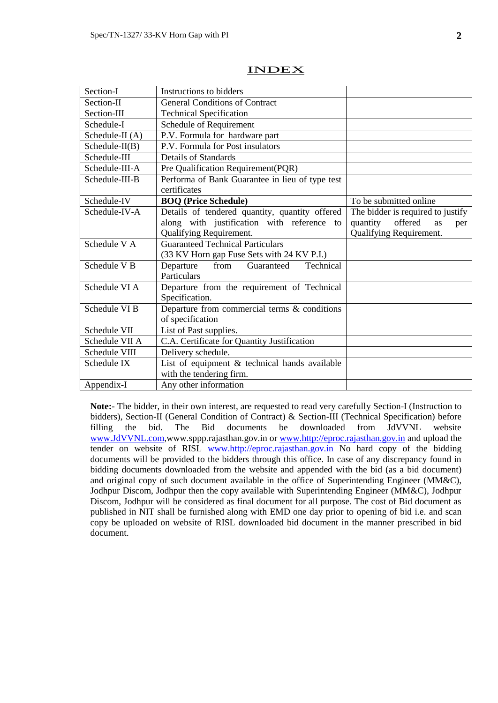| Section-I               | Instructions to bidders                         |                                   |
|-------------------------|-------------------------------------------------|-----------------------------------|
| Section-II              | <b>General Conditions of Contract</b>           |                                   |
| Section-III             | <b>Technical Specification</b>                  |                                   |
| Schedule-I              | Schedule of Requirement                         |                                   |
| Schedule-II (A)         | P.V. Formula for hardware part                  |                                   |
| $Schedule-II(B)$        | P.V. Formula for Post insulators                |                                   |
| Schedule-III            | <b>Details of Standards</b>                     |                                   |
| Schedule-III-A          | Pre Qualification Requirement(PQR)              |                                   |
| Schedule-III-B          | Performa of Bank Guarantee in lieu of type test |                                   |
|                         | certificates                                    |                                   |
| Schedule-IV             | <b>BOQ (Price Schedule)</b>                     | To be submitted online            |
| Schedule-IV-A           | Details of tendered quantity, quantity offered  | The bidder is required to justify |
|                         | along with justification with reference to      | offered<br>quantity<br>as<br>per  |
|                         | Qualifying Requirement.                         | Qualifying Requirement.           |
| Schedule V A            | <b>Guaranteed Technical Particulars</b>         |                                   |
|                         | (33 KV Horn gap Fuse Sets with 24 KV P.I.)      |                                   |
| Schedule V <sub>B</sub> | Technical<br>Departure<br>Guaranteed<br>from    |                                   |
|                         | Particulars                                     |                                   |
| Schedule VI A           | Departure from the requirement of Technical     |                                   |
|                         | Specification.                                  |                                   |
| Schedule VI B           | Departure from commercial terms & conditions    |                                   |
|                         | of specification                                |                                   |
| Schedule VII            | List of Past supplies.                          |                                   |
| Schedule VII A          | C.A. Certificate for Quantity Justification     |                                   |
| Schedule VIII           | Delivery schedule.                              |                                   |
| Schedule IX             | List of equipment $&$ technical hands available |                                   |
|                         | with the tendering firm.                        |                                   |
| Appendix-I              | Any other information                           |                                   |

### INDEX

**Note:-** The bidder, in their own interest, are requested to read very carefully Section-I (Instruction to bidders), Section-II (General Condition of Contract) & Section-III (Technical Specification) before filling the bid. The Bid documents be downloaded from JdVVNL website [www.JdVVNL.com,](http://www.jdvvnl.com/)www.sppp.rajasthan.gov.in or [www.http://eproc.rajasthan.gov.in](http://www.http/eproc.rajasthan.gov.in) and upload the tender on website of RISL [www.http://eproc.rajasthan.gov.in](http://www.http/eproc.rajasthan.gov.in) No hard copy of the bidding documents will be provided to the bidders through this office. In case of any discrepancy found in bidding documents downloaded from the website and appended with the bid (as a bid document) and original copy of such document available in the office of Superintending Engineer (MM&C), Jodhpur Discom, Jodhpur then the copy available with Superintending Engineer (MM&C), Jodhpur Discom, Jodhpur will be considered as final document for all purpose. The cost of Bid document as published in NIT shall be furnished along with EMD one day prior to opening of bid i.e. and scan copy be uploaded on website of RISL downloaded bid document in the manner prescribed in bid document.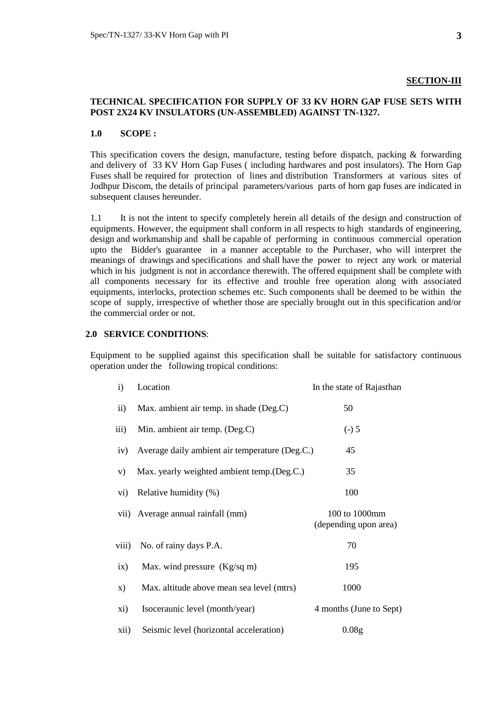## **SECTION-III**

## **TECHNICAL SPECIFICATION FOR SUPPLY OF 33 KV HORN GAP FUSE SETS WITH POST 2X24 KV INSULATORS (UN-ASSEMBLED) AGAINST TN-1327.**

#### **1.0 SCOPE :**

This specification covers the design, manufacture, testing before dispatch, packing & forwarding and delivery of 33 KV Horn Gap Fuses ( including hardwares and post insulators). The Horn Gap Fuses shall be required for protection of lines and distribution Transformers at various sites of Jodhpur Discom, the details of principal parameters/various parts of horn gap fuses are indicated in subsequent clauses hereunder.

1.1 It is not the intent to specify completely herein all details of the design and construction of equipments. However, the equipment shall conform in all respects to high standards of engineering, design and workmanship and shall be capable of performing in continuous commercial operation upto the Bidder's guarantee in a manner acceptable to the Purchaser, who will interpret the meanings of drawings and specifications and shall have the power to reject any work or material which in his judgment is not in accordance therewith. The offered equipment shall be complete with all components necessary for its effective and trouble free operation along with associated equipments, interlocks, protection schemes etc. Such components shall be deemed to be within the scope of supply, irrespective of whether those are specially brought out in this specification and/or the commercial order or not.

## **2.0 SERVICE CONDITIONS**:

Equipment to be supplied against this specification shall be suitable for satisfactory continuous operation under the following tropical conditions:

| i)                      | Location                                       | In the state of Rajasthan              |
|-------------------------|------------------------------------------------|----------------------------------------|
| $\ddot{\text{1}}$       | Max. ambient air temp. in shade (Deg.C)        | 50                                     |
| $\overline{\text{iii}}$ | Min. ambient air temp. (Deg.C)                 | $(-) 5$                                |
| iv)                     | Average daily ambient air temperature (Deg.C.) | 45                                     |
| V)                      | Max. yearly weighted ambient temp. (Deg.C.)    | 35                                     |
| vi)                     | Relative humidity (%)                          | 100                                    |
|                         | vii) Average annual rainfall (mm)              | 100 to 1000mm<br>(depending upon area) |
| viii)                   | No. of rainy days P.A.                         | 70                                     |
| ix)                     | Max. wind pressure $(Kg/sq m)$                 | 195                                    |
| $\mathbf{x})$           | Max. altitude above mean sea level (mtrs)      | 1000                                   |
| xi)                     | Isoceraunic level (month/year)                 | 4 months (June to Sept)                |
| xii)                    | Seismic level (horizontal acceleration)        | 0.08 <sub>g</sub>                      |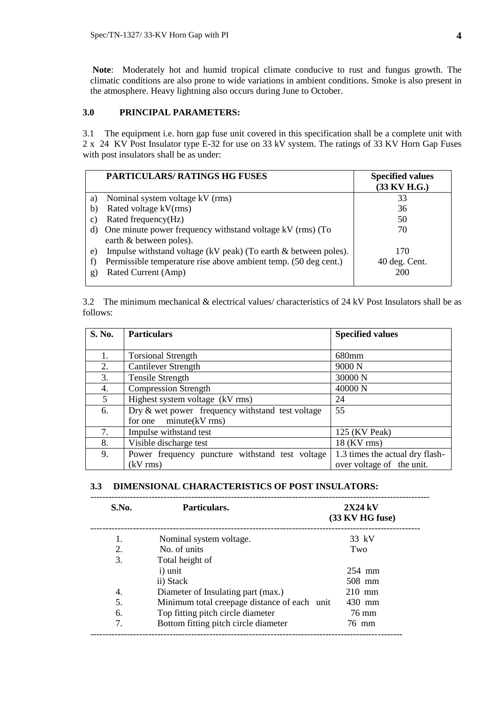**Note**: Moderately hot and humid tropical climate conducive to rust and fungus growth. The climatic conditions are also prone to wide variations in ambient conditions. Smoke is also present in the atmosphere. Heavy lightning also occurs during June to October.

## **3.0 PRINCIPAL PARAMETERS:**

3.1 The equipment i.e. horn gap fuse unit covered in this specification shall be a complete unit with 2 x 24 KV Post Insulator type E-32 for use on 33 kV system. The ratings of 33 KV Horn Gap Fuses with post insulators shall be as under:

|              | <b>PARTICULARS/ RATINGS HG FUSES</b>                                                 | <b>Specified values</b><br>(33 KV H.G.) |
|--------------|--------------------------------------------------------------------------------------|-----------------------------------------|
| a)           | Nominal system voltage kV (rms)                                                      | 33                                      |
| b)           | Rated voltage kV(rms)                                                                | 36                                      |
| $\mathbf{C}$ | Rated frequency(Hz)                                                                  | 50                                      |
| d)           | One minute power frequency withstand voltage kV (rms) (To<br>earth & between poles). | 70                                      |
| e)           | Impulse withstand voltage (kV peak) (To earth & between poles).                      | 170                                     |
| f)           | Permissible temperature rise above ambient temp. (50 deg cent.)                      | 40 deg. Cent.                           |
| g)           | Rated Current (Amp)                                                                  | 200                                     |

3.2 The minimum mechanical & electrical values/ characteristics of 24 kV Post Insulators shall be as follows:

| <b>S. No.</b>  | <b>Particulars</b>                               | <b>Specified values</b>         |
|----------------|--------------------------------------------------|---------------------------------|
|                |                                                  |                                 |
| 1.             | <b>Torsional Strength</b>                        | 680mm                           |
| 2.             | <b>Cantilever Strength</b>                       | 9000 <sub>N</sub>               |
| 3.             | Tensile Strength                                 | 30000 N                         |
| 4.             | <b>Compression Strength</b>                      | 40000 N                         |
| 5 <sup>5</sup> | Highest system voltage (kV rms)                  | 24                              |
| 6.             | Dry & wet power frequency withstand test voltage | 55                              |
|                | for one $minute(kV rms)$                         |                                 |
| 7.             | Impulse withstand test                           | 125 (KV Peak)                   |
| 8.             | Visible discharge test                           | $18$ (KV rms)                   |
| 9.             | Power frequency puncture withstand test voltage  | 1.3 times the actual dry flash- |
|                | $(kV$ rms)                                       | over voltage of the unit.       |

## **3.3 DIMENSIONAL CHARACTERISTICS OF POST INSULATORS:**

| S.No. | Particulars.                                 | $2X24$ kV<br>(33 KV HG fuse) |
|-------|----------------------------------------------|------------------------------|
| 1.    | Nominal system voltage.                      | 33 kV                        |
| 2.    | No. of units                                 | Two                          |
| 3.    | Total height of                              |                              |
|       | i) unit                                      | 254 mm                       |
|       | ii) Stack                                    | 508 mm                       |
| 4.    | Diameter of Insulating part (max.)           | $210$ mm                     |
| .5.   | Minimum total creepage distance of each unit | 430 mm                       |
| 6.    | Top fitting pitch circle diameter            | 76 mm                        |
| 7.    | Bottom fitting pitch circle diameter         | 76 mm                        |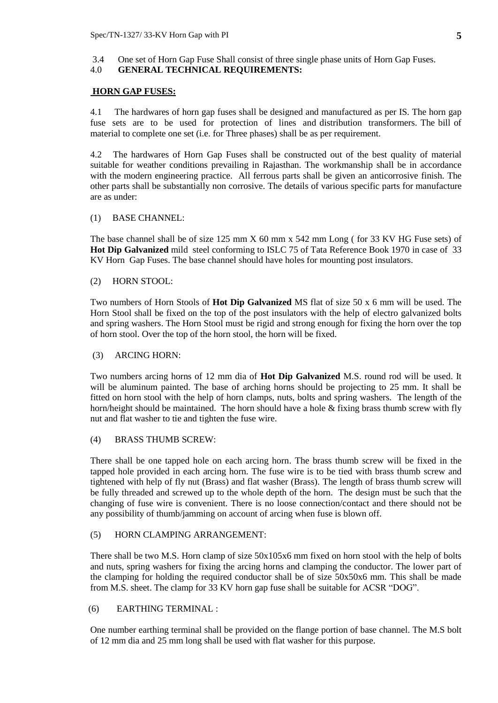3.4 One set of Horn Gap Fuse Shall consist of three single phase units of Horn Gap Fuses.

## 4.0 **GENERAL TECHNICAL REQUIREMENTS:**

## **HORN GAP FUSES:**

4.1 The hardwares of horn gap fuses shall be designed and manufactured as per IS. The horn gap fuse sets are to be used for protection of lines and distribution transformers. The bill of material to complete one set (i.e. for Three phases) shall be as per requirement.

4.2 The hardwares of Horn Gap Fuses shall be constructed out of the best quality of material suitable for weather conditions prevailing in Rajasthan. The workmanship shall be in accordance with the modern engineering practice. All ferrous parts shall be given an anticorrosive finish. The other parts shall be substantially non corrosive. The details of various specific parts for manufacture are as under:

### (1) BASE CHANNEL:

The base channel shall be of size 125 mm X 60 mm x 542 mm Long ( for 33 KV HG Fuse sets) of **Hot Dip Galvanized** mild steel conforming to ISLC 75 of Tata Reference Book 1970 in case of 33 KV Horn Gap Fuses. The base channel should have holes for mounting post insulators.

### (2) HORN STOOL:

Two numbers of Horn Stools of **Hot Dip Galvanized** MS flat of size 50 x 6 mm will be used. The Horn Stool shall be fixed on the top of the post insulators with the help of electro galvanized bolts and spring washers. The Horn Stool must be rigid and strong enough for fixing the horn over the top of horn stool. Over the top of the horn stool, the horn will be fixed.

#### (3) ARCING HORN:

Two numbers arcing horns of 12 mm dia of **Hot Dip Galvanized** M.S. round rod will be used. It will be aluminum painted. The base of arching horns should be projecting to 25 mm. It shall be fitted on horn stool with the help of horn clamps, nuts, bolts and spring washers. The length of the horn/height should be maintained. The horn should have a hole & fixing brass thumb screw with fly nut and flat washer to tie and tighten the fuse wire.

## (4) BRASS THUMB SCREW:

There shall be one tapped hole on each arcing horn. The brass thumb screw will be fixed in the tapped hole provided in each arcing horn. The fuse wire is to be tied with brass thumb screw and tightened with help of fly nut (Brass) and flat washer (Brass). The length of brass thumb screw will be fully threaded and screwed up to the whole depth of the horn. The design must be such that the changing of fuse wire is convenient. There is no loose connection/contact and there should not be any possibility of thumb/jamming on account of arcing when fuse is blown off.

#### (5) HORN CLAMPING ARRANGEMENT:

There shall be two M.S. Horn clamp of size 50x105x6 mm fixed on horn stool with the help of bolts and nuts, spring washers for fixing the arcing horns and clamping the conductor. The lower part of the clamping for holding the required conductor shall be of size 50x50x6 mm. This shall be made from M.S. sheet. The clamp for 33 KV horn gap fuse shall be suitable for ACSR "DOG".

## (6) EARTHING TERMINAL :

One number earthing terminal shall be provided on the flange portion of base channel. The M.S bolt of 12 mm dia and 25 mm long shall be used with flat washer for this purpose.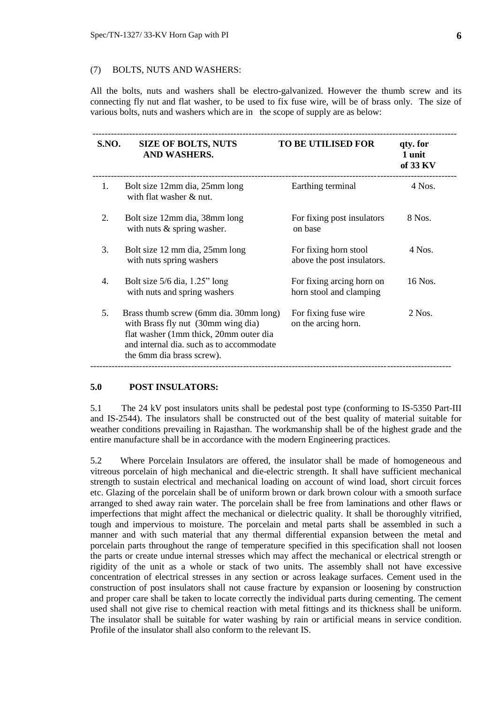#### (7) BOLTS, NUTS AND WASHERS:

All the bolts, nuts and washers shall be electro-galvanized. However the thumb screw and its connecting fly nut and flat washer, to be used to fix fuse wire, will be of brass only. The size of various bolts, nuts and washers which are in the scope of supply are as below:

| <b>S.NO.</b> | <b>SIZE OF BOLTS, NUTS</b><br>AND WASHERS.                                                                                                                                                      | <b>TO BE UTILISED FOR</b>                            | qty. for<br>1 unit<br>of 33 KV |
|--------------|-------------------------------------------------------------------------------------------------------------------------------------------------------------------------------------------------|------------------------------------------------------|--------------------------------|
| $1_{\cdot}$  | Bolt size 12mm dia, 25mm long<br>with flat washer $&$ nut.                                                                                                                                      | Earthing terminal                                    | 4 Nos.                         |
| 2.           | Bolt size 12mm dia, 38mm long<br>with nuts $\&$ spring washer.                                                                                                                                  | For fixing post insulators<br>on base                | 8 Nos.                         |
| 3.           | Bolt size 12 mm dia, 25 mm long<br>with nuts spring washers                                                                                                                                     | For fixing horn stool<br>above the post insulators.  | $4$ Nos.                       |
| 4.           | Bolt size $5/6$ dia, $1.25$ " long<br>with nuts and spring washers                                                                                                                              | For fixing arcing horn on<br>horn stool and clamping | 16 Nos.                        |
| 5.           | Brass thumb screw (6mm dia. 30mm long)<br>with Brass fly nut (30mm wing dia)<br>flat washer (1mm thick, 20mm outer dia<br>and internal dia, such as to accommodate<br>the 6mm dia brass screw). | For fixing fuse wire<br>on the arcing horn.          | $2$ Nos.                       |

#### **5.0 POST INSULATORS:**

5.1 The 24 kV post insulators units shall be pedestal post type (conforming to IS-5350 Part-III and IS-2544). The insulators shall be constructed out of the best quality of material suitable for weather conditions prevailing in Rajasthan. The workmanship shall be of the highest grade and the entire manufacture shall be in accordance with the modern Engineering practices.

5.2 Where Porcelain Insulators are offered, the insulator shall be made of homogeneous and vitreous porcelain of high mechanical and die-electric strength. It shall have sufficient mechanical strength to sustain electrical and mechanical loading on account of wind load, short circuit forces etc. Glazing of the porcelain shall be of uniform brown or dark brown colour with a smooth surface arranged to shed away rain water. The porcelain shall be free from laminations and other flaws or imperfections that might affect the mechanical or dielectric quality. It shall be thoroughly vitrified, tough and impervious to moisture. The porcelain and metal parts shall be assembled in such a manner and with such material that any thermal differential expansion between the metal and porcelain parts throughout the range of temperature specified in this specification shall not loosen the parts or create undue internal stresses which may affect the mechanical or electrical strength or rigidity of the unit as a whole or stack of two units. The assembly shall not have excessive concentration of electrical stresses in any section or across leakage surfaces. Cement used in the construction of post insulators shall not cause fracture by expansion or loosening by construction and proper care shall be taken to locate correctly the individual parts during cementing. The cement used shall not give rise to chemical reaction with metal fittings and its thickness shall be uniform. The insulator shall be suitable for water washing by rain or artificial means in service condition. Profile of the insulator shall also conform to the relevant IS.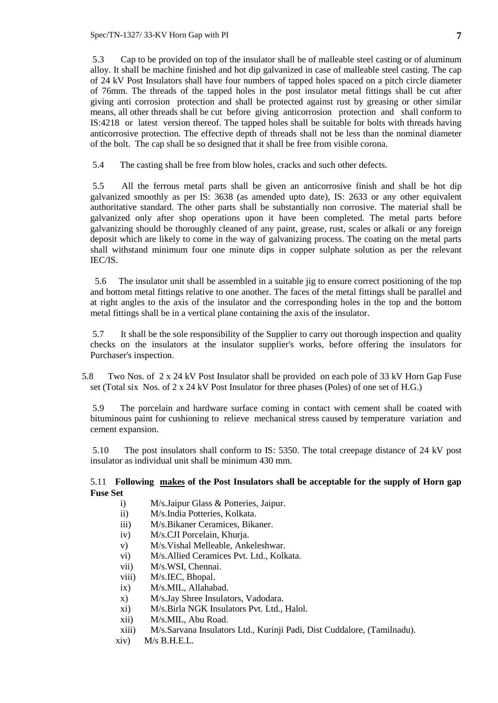Spec/TN-1327/ 33-KV Horn Gap with PI **7**

5.3 Cap to be provided on top of the insulator shall be of malleable steel casting or of aluminum alloy. It shall be machine finished and hot dip galvanized in case of malleable steel casting. The cap of 24 kV Post Insulators shall have four numbers of tapped holes spaced on a pitch circle diameter of 76mm. The threads of the tapped holes in the post insulator metal fittings shall be cut after giving anti corrosion protection and shall be protected against rust by greasing or other similar means, all other threads shall be cut before giving anticorrosion protection and shall conform to IS:4218 or latest version thereof. The tapped holes shall be suitable for bolts with threads having anticorrosive protection. The effective depth of threads shall not be less than the nominal diameter of the bolt. The cap shall be so designed that it shall be free from visible corona.

5.4 The casting shall be free from blow holes, cracks and such other defects.

5.5 All the ferrous metal parts shall be given an anticorrosive finish and shall be hot dip galvanized smoothly as per IS: 3638 (as amended upto date), IS: 2633 or any other equivalent authoritative standard. The other parts shall be substantially non corrosive. The material shall be galvanized only after shop operations upon it have been completed. The metal parts before galvanizing should be thoroughly cleaned of any paint, grease, rust, scales or alkali or any foreign deposit which are likely to come in the way of galvanizing process. The coating on the metal parts shall withstand minimum four one minute dips in copper sulphate solution as per the relevant IEC/IS.

 5.6 The insulator unit shall be assembled in a suitable jig to ensure correct positioning of the top and bottom metal fittings relative to one another. The faces of the metal fittings shall be parallel and at right angles to the axis of the insulator and the corresponding holes in the top and the bottom metal fittings shall be in a vertical plane containing the axis of the insulator.

5.7 It shall be the sole responsibility of the Supplier to carry out thorough inspection and quality checks on the insulators at the insulator supplier's works, before offering the insulators for Purchaser's inspection.

 5.8 Two Nos. of 2 x 24 kV Post Insulator shall be provided on each pole of 33 kV Horn Gap Fuse set (Total six Nos. of 2 x 24 kV Post Insulator for three phases (Poles) of one set of H.G.)

5.9 The porcelain and hardware surface coming in contact with cement shall be coated with bituminous paint for cushioning to relieve mechanical stress caused by temperature variation and cement expansion.

5.10 The post insulators shall conform to IS: 5350. The total creepage distance of 24 kV post insulator as individual unit shall be minimum 430 mm.

## 5.11 **Following makes of the Post Insulators shall be acceptable for the supply of Horn gap Fuse Set**

- i) M/s.Jaipur Glass & Potteries, Jaipur.
- ii) M/s.India Potteries, Kolkata.
- iii) M/s.Bikaner Ceramices, Bikaner.
- iv) M/s.CJI Porcelain, Khurja.
- v) M/s.Vishal Melleable, Ankeleshwar.
- vi) M/s.Allied Ceramices Pvt. Ltd., Kolkata.
- vii) M/s.WSI, Chennai.
- viii) M/s.IEC, Bhopal.
- ix) M/s.MIL, Allahabad.
- x) M/s.Jay Shree Insulators, Vadodara.
- xi) M/s.Birla NGK Insulators Pvt. Ltd., Halol.
- xii) M/s.MIL, Abu Road.
- xiii) M/s.Sarvana Insulators Ltd., Kurinji Padi, Dist Cuddalore, (Tamilnadu).
- xiv) M/s B.H.E.L.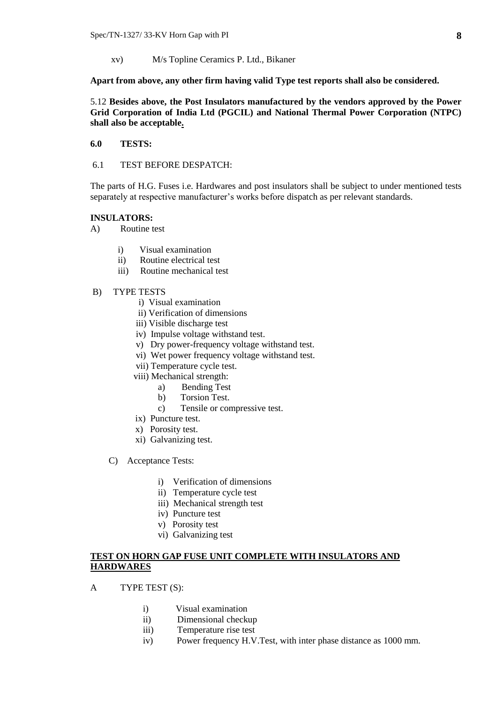xv) M/s Topline Ceramics P. Ltd., Bikaner

**Apart from above, any other firm having valid Type test reports shall also be considered.**

5.12 **Besides above, the Post Insulators manufactured by the vendors approved by the Power Grid Corporation of India Ltd (PGCIL) and National Thermal Power Corporation (NTPC) shall also be acceptable.**

- **6.0 TESTS:**
- 6.1 TEST BEFORE DESPATCH:

The parts of H.G. Fuses i.e. Hardwares and post insulators shall be subject to under mentioned tests separately at respective manufacturer's works before dispatch as per relevant standards.

#### **INSULATORS:**

- A) Routine test
	- i) Visual examination
	- ii) Routine electrical test
	- iii) Routine mechanical test
- B) TYPE TESTS
	- i) Visual examination
	- ii) Verification of dimensions
	- iii) Visible discharge test
	- iv) Impulse voltage withstand test.
	- v) Dry power-frequency voltage withstand test.
	- vi) Wet power frequency voltage withstand test.
	- vii) Temperature cycle test.
	- viii) Mechanical strength:
		- a) Bending Test
		- b) Torsion Test.
		- c) Tensile or compressive test.
	- ix) Puncture test.
	- x) Porosity test.
	- xi) Galvanizing test.
	- C) Acceptance Tests:
		- i) Verification of dimensions
		- ii) Temperature cycle test
		- iii) Mechanical strength test
		- iv) Puncture test
		- v) Porosity test
		- vi) Galvanizing test

## **TEST ON HORN GAP FUSE UNIT COMPLETE WITH INSULATORS AND HARDWARES**

- A TYPE TEST (S):
	- i) Visual examination
	- ii) Dimensional checkup
	- iii) Temperature rise test
	- iv) Power frequency H.V.Test, with inter phase distance as 1000 mm.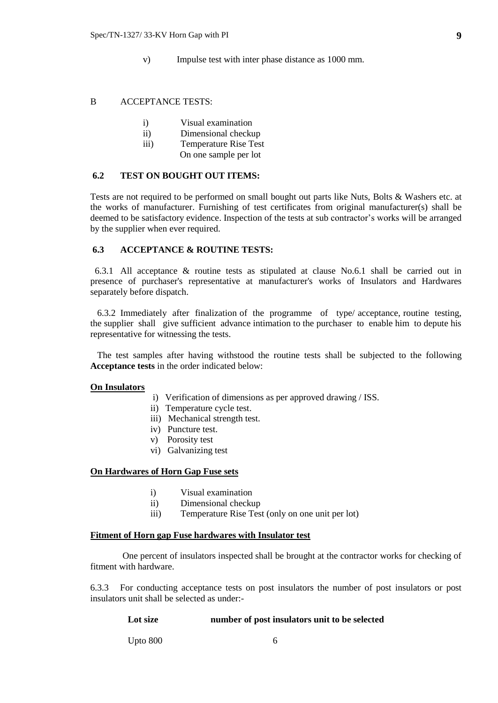v) Impulse test with inter phase distance as 1000 mm.

#### B ACCEPTANCE TESTS:

- i) Visual examination
- ii) Dimensional checkup
- iii) Temperature Rise Test
- On one sample per lot

#### **6.2 TEST ON BOUGHT OUT ITEMS:**

Tests are not required to be performed on small bought out parts like Nuts, Bolts & Washers etc. at the works of manufacturer. Furnishing of test certificates from original manufacturer(s) shall be deemed to be satisfactory evidence. Inspection of the tests at sub contractor's works will be arranged by the supplier when ever required.

#### **6.3 ACCEPTANCE & ROUTINE TESTS:**

 6.3.1 All acceptance & routine tests as stipulated at clause No.6.1 shall be carried out in presence of purchaser's representative at manufacturer's works of Insulators and Hardwares separately before dispatch.

 6.3.2 Immediately after finalization of the programme of type/ acceptance, routine testing, the supplier shall give sufficient advance intimation to the purchaser to enable him to depute his representative for witnessing the tests.

 The test samples after having withstood the routine tests shall be subjected to the following **Acceptance tests** in the order indicated below:

#### **On Insulators**

- i) Verification of dimensions as per approved drawing / ISS.
- ii) Temperature cycle test.
- iii) Mechanical strength test.
- iv) Puncture test.
- v) Porosity test
- vi) Galvanizing test

## **On Hardwares of Horn Gap Fuse sets**

- i) Visual examination
- ii) Dimensional checkup
- iii) Temperature Rise Test (only on one unit per lot)

#### **Fitment of Horn gap Fuse hardwares with Insulator test**

 One percent of insulators inspected shall be brought at the contractor works for checking of fitment with hardware.

6.3.3 For conducting acceptance tests on post insulators the number of post insulators or post insulators unit shall be selected as under:-

#### **Lot size number of post insulators unit to be selected**

Upto 800 6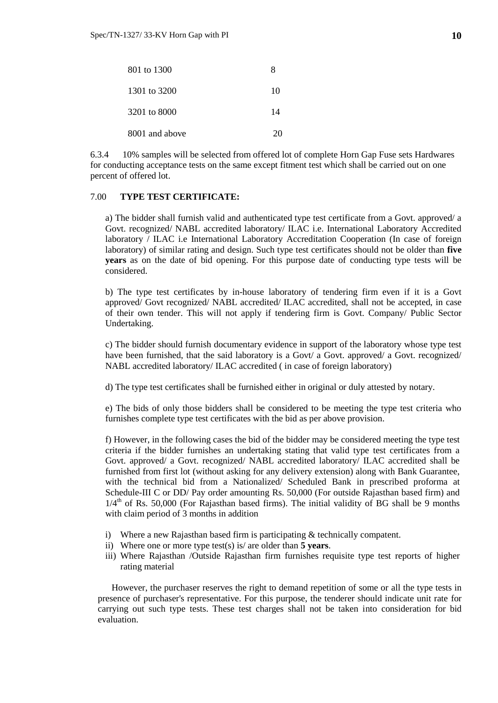| 801 to 1300    | x  |
|----------------|----|
| 1301 to 3200   | 10 |
| 3201 to 8000   | 14 |
| 8001 and above | 20 |

6.3.4 10% samples will be selected from offered lot of complete Horn Gap Fuse sets Hardwares for conducting acceptance tests on the same except fitment test which shall be carried out on one percent of offered lot.

## 7.00 **TYPE TEST CERTIFICATE:**

a) The bidder shall furnish valid and authenticated type test certificate from a Govt. approved/ a Govt. recognized/ NABL accredited laboratory/ ILAC i.e. International Laboratory Accredited laboratory / ILAC i.e International Laboratory Accreditation Cooperation (In case of foreign laboratory) of similar rating and design. Such type test certificates should not be older than **five years** as on the date of bid opening. For this purpose date of conducting type tests will be considered.

b) The type test certificates by in-house laboratory of tendering firm even if it is a Govt approved/ Govt recognized/ NABL accredited/ ILAC accredited, shall not be accepted, in case of their own tender. This will not apply if tendering firm is Govt. Company/ Public Sector Undertaking.

c) The bidder should furnish documentary evidence in support of the laboratory whose type test have been furnished, that the said laboratory is a Govt/ a Govt. approved/ a Govt. recognized/ NABL accredited laboratory/ ILAC accredited ( in case of foreign laboratory)

d) The type test certificates shall be furnished either in original or duly attested by notary.

e) The bids of only those bidders shall be considered to be meeting the type test criteria who furnishes complete type test certificates with the bid as per above provision.

f) However, in the following cases the bid of the bidder may be considered meeting the type test criteria if the bidder furnishes an undertaking stating that valid type test certificates from a Govt. approved/ a Govt. recognized/ NABL accredited laboratory/ ILAC accredited shall be furnished from first lot (without asking for any delivery extension) along with Bank Guarantee, with the technical bid from a Nationalized/ Scheduled Bank in prescribed proforma at Schedule-III C or DD/ Pay order amounting Rs. 50,000 (For outside Rajasthan based firm) and  $1/4<sup>th</sup>$  of Rs. 50,000 (For Rajasthan based firms). The initial validity of BG shall be 9 months with claim period of 3 months in addition

- i) Where a new Rajasthan based firm is participating & technically compatent.
- ii) Where one or more type test(s) is/ are older than **5 years**.
- iii) Where Rajasthan /Outside Rajasthan firm furnishes requisite type test reports of higher rating material

However, the purchaser reserves the right to demand repetition of some or all the type tests in presence of purchaser's representative. For this purpose, the tenderer should indicate unit rate for carrying out such type tests. These test charges shall not be taken into consideration for bid evaluation.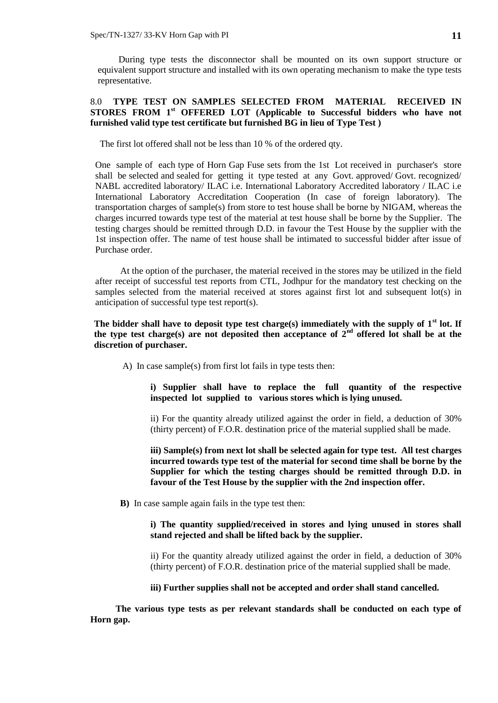During type tests the disconnector shall be mounted on its own support structure or equivalent support structure and installed with its own operating mechanism to make the type tests representative.

## 8.0 **TYPE TEST ON SAMPLES SELECTED FROM MATERIAL RECEIVED IN STORES FROM 1st OFFERED LOT (Applicable to Successful bidders who have not furnished valid type test certificate but furnished BG in lieu of Type Test )**

The first lot offered shall not be less than 10 % of the ordered qty.

One sample of each type of Horn Gap Fuse sets from the 1st Lot received in purchaser's store shall be selected and sealed for getting it type tested at any Govt. approved/ Govt. recognized/ NABL accredited laboratory/ ILAC i.e. International Laboratory Accredited laboratory / ILAC i.e International Laboratory Accreditation Cooperation (In case of foreign laboratory). The transportation charges of sample(s) from store to test house shall be borne by NIGAM, whereas the charges incurred towards type test of the material at test house shall be borne by the Supplier. The testing charges should be remitted through D.D. in favour the Test House by the supplier with the 1st inspection offer. The name of test house shall be intimated to successful bidder after issue of Purchase order.

At the option of the purchaser, the material received in the stores may be utilized in the field after receipt of successful test reports from CTL, Jodhpur for the mandatory test checking on the samples selected from the material received at stores against first lot and subsequent lot(s) in anticipation of successful type test report(s).

## The bidder shall have to deposit type test charge(s) immediately with the supply of 1<sup>st</sup> lot. If **the type test charge(s) are not deposited then acceptance of 2nd offered lot shall be at the discretion of purchaser.**

A) In case sample(s) from first lot fails in type tests then:

**i) Supplier shall have to replace the full quantity of the respective inspected lot supplied to various stores which is lying unused.**

ii) For the quantity already utilized against the order in field, a deduction of 30% (thirty percent) of F.O.R. destination price of the material supplied shall be made.

**iii) Sample(s) from next lot shall be selected again for type test. All test charges incurred towards type test of the material for second time shall be borne by the Supplier for which the testing charges should be remitted through D.D. in favour of the Test House by the supplier with the 2nd inspection offer.** 

 **B)** In case sample again fails in the type test then:

## **i) The quantity supplied/received in stores and lying unused in stores shall stand rejected and shall be lifted back by the supplier.**

ii) For the quantity already utilized against the order in field, a deduction of 30% (thirty percent) of F.O.R. destination price of the material supplied shall be made.

**iii) Further supplies shall not be accepted and order shall stand cancelled.** 

 **The various type tests as per relevant standards shall be conducted on each type of Horn gap.**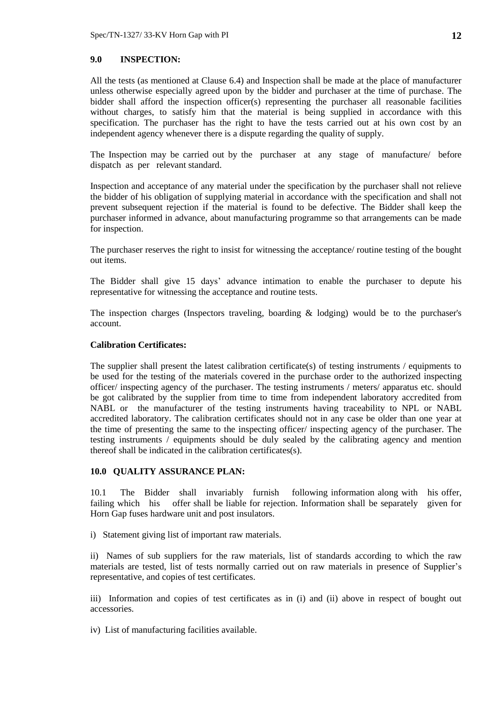## **9.0 INSPECTION:**

All the tests (as mentioned at Clause 6.4) and Inspection shall be made at the place of manufacturer unless otherwise especially agreed upon by the bidder and purchaser at the time of purchase. The bidder shall afford the inspection officer(s) representing the purchaser all reasonable facilities without charges, to satisfy him that the material is being supplied in accordance with this specification. The purchaser has the right to have the tests carried out at his own cost by an independent agency whenever there is a dispute regarding the quality of supply.

The Inspection may be carried out by the purchaser at any stage of manufacture/ before dispatch as per relevant standard.

Inspection and acceptance of any material under the specification by the purchaser shall not relieve the bidder of his obligation of supplying material in accordance with the specification and shall not prevent subsequent rejection if the material is found to be defective. The Bidder shall keep the purchaser informed in advance, about manufacturing programme so that arrangements can be made for inspection.

The purchaser reserves the right to insist for witnessing the acceptance/ routine testing of the bought out items.

The Bidder shall give 15 days' advance intimation to enable the purchaser to depute his representative for witnessing the acceptance and routine tests.

The inspection charges (Inspectors traveling, boarding & lodging) would be to the purchaser's account.

### **Calibration Certificates:**

The supplier shall present the latest calibration certificate(s) of testing instruments / equipments to be used for the testing of the materials covered in the purchase order to the authorized inspecting officer/ inspecting agency of the purchaser. The testing instruments / meters/ apparatus etc. should be got calibrated by the supplier from time to time from independent laboratory accredited from NABL or the manufacturer of the testing instruments having traceability to NPL or NABL accredited laboratory. The calibration certificates should not in any case be older than one year at the time of presenting the same to the inspecting officer/ inspecting agency of the purchaser. The testing instruments / equipments should be duly sealed by the calibrating agency and mention thereof shall be indicated in the calibration certificates(s).

#### **10.0 QUALITY ASSURANCE PLAN:**

10.1 The Bidder shall invariably furnish following information along with his offer, failing which his offer shall be liable for rejection. Information shall be separately given for Horn Gap fuses hardware unit and post insulators.

i) Statement giving list of important raw materials.

ii) Names of sub suppliers for the raw materials, list of standards according to which the raw materials are tested, list of tests normally carried out on raw materials in presence of Supplier's representative, and copies of test certificates.

iii) Information and copies of test certificates as in (i) and (ii) above in respect of bought out accessories.

iv) List of manufacturing facilities available.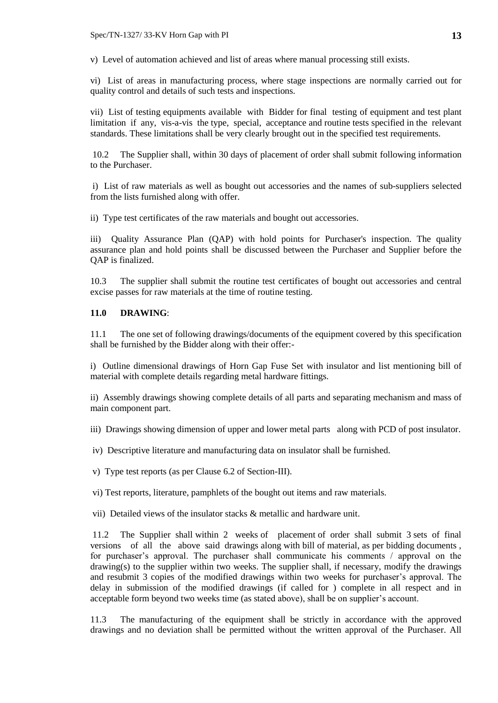v) Level of automation achieved and list of areas where manual processing still exists.

vi) List of areas in manufacturing process, where stage inspections are normally carried out for quality control and details of such tests and inspections.

vii) List of testing equipments available with Bidder for final testing of equipment and test plant limitation if any, vis-a-vis the type, special, acceptance and routine tests specified in the relevant standards. These limitations shall be very clearly brought out in the specified test requirements.

10.2 The Supplier shall, within 30 days of placement of order shall submit following information to the Purchaser.

i) List of raw materials as well as bought out accessories and the names of sub-suppliers selected from the lists furnished along with offer.

ii) Type test certificates of the raw materials and bought out accessories.

iii) Quality Assurance Plan (QAP) with hold points for Purchaser's inspection. The quality assurance plan and hold points shall be discussed between the Purchaser and Supplier before the QAP is finalized.

10.3 The supplier shall submit the routine test certificates of bought out accessories and central excise passes for raw materials at the time of routine testing.

## **11.0 DRAWING**:

11.1 The one set of following drawings/documents of the equipment covered by this specification shall be furnished by the Bidder along with their offer:-

i) Outline dimensional drawings of Horn Gap Fuse Set with insulator and list mentioning bill of material with complete details regarding metal hardware fittings.

ii) Assembly drawings showing complete details of all parts and separating mechanism and mass of main component part.

iii) Drawings showing dimension of upper and lower metal parts along with PCD of post insulator.

iv) Descriptive literature and manufacturing data on insulator shall be furnished.

v) Type test reports (as per Clause 6.2 of Section-III).

vi) Test reports, literature, pamphlets of the bought out items and raw materials.

vii) Detailed views of the insulator stacks & metallic and hardware unit.

11.2 The Supplier shall within 2 weeks of placement of order shall submit 3 sets of final versions of all the above said drawings along with bill of material, as per bidding documents , for purchaser's approval. The purchaser shall communicate his comments / approval on the drawing(s) to the supplier within two weeks. The supplier shall, if necessary, modify the drawings and resubmit 3 copies of the modified drawings within two weeks for purchaser's approval. The delay in submission of the modified drawings (if called for ) complete in all respect and in acceptable form beyond two weeks time (as stated above), shall be on supplier's account.

11.3 The manufacturing of the equipment shall be strictly in accordance with the approved drawings and no deviation shall be permitted without the written approval of the Purchaser. All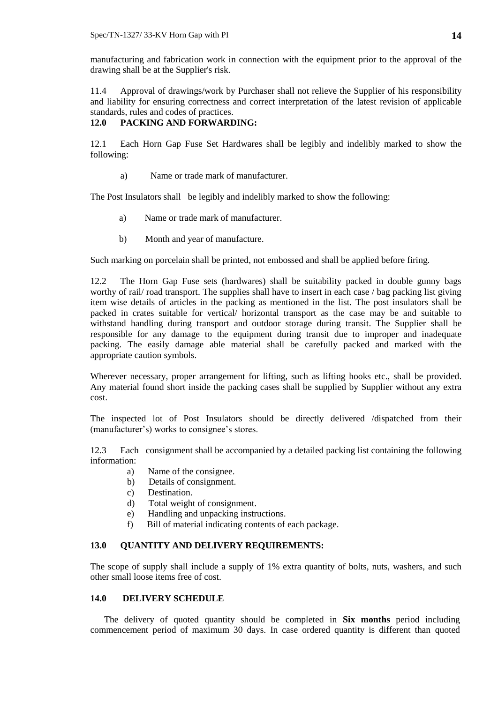manufacturing and fabrication work in connection with the equipment prior to the approval of the drawing shall be at the Supplier's risk.

11.4 Approval of drawings/work by Purchaser shall not relieve the Supplier of his responsibility and liability for ensuring correctness and correct interpretation of the latest revision of applicable standards, rules and codes of practices.

## **12.0 PACKING AND FORWARDING:**

12.1 Each Horn Gap Fuse Set Hardwares shall be legibly and indelibly marked to show the following:

a) Name or trade mark of manufacturer.

The Post Insulators shall be legibly and indelibly marked to show the following:

- a) Name or trade mark of manufacturer.
- b) Month and year of manufacture.

Such marking on porcelain shall be printed, not embossed and shall be applied before firing.

12.2 The Horn Gap Fuse sets (hardwares) shall be suitability packed in double gunny bags worthy of rail/ road transport. The supplies shall have to insert in each case / bag packing list giving item wise details of articles in the packing as mentioned in the list. The post insulators shall be packed in crates suitable for vertical/ horizontal transport as the case may be and suitable to withstand handling during transport and outdoor storage during transit. The Supplier shall be responsible for any damage to the equipment during transit due to improper and inadequate packing. The easily damage able material shall be carefully packed and marked with the appropriate caution symbols.

Wherever necessary, proper arrangement for lifting, such as lifting hooks etc., shall be provided. Any material found short inside the packing cases shall be supplied by Supplier without any extra cost.

The inspected lot of Post Insulators should be directly delivered /dispatched from their (manufacturer's) works to consignee's stores.

12.3 Each consignment shall be accompanied by a detailed packing list containing the following information:

- a) Name of the consignee.
- b) Details of consignment.
- c) Destination.
- d) Total weight of consignment.
- e) Handling and unpacking instructions.
- f) Bill of material indicating contents of each package.

## **13.0 QUANTITY AND DELIVERY REQUIREMENTS:**

The scope of supply shall include a supply of 1% extra quantity of bolts, nuts, washers, and such other small loose items free of cost.

## **14.0 DELIVERY SCHEDULE**

The delivery of quoted quantity should be completed in **Six months** period including commencement period of maximum 30 days. In case ordered quantity is different than quoted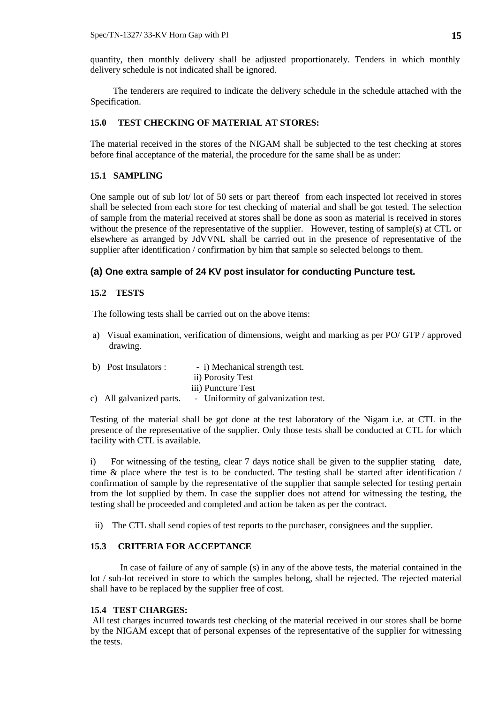quantity, then monthly delivery shall be adjusted proportionately. Tenders in which monthly delivery schedule is not indicated shall be ignored.

 The tenderers are required to indicate the delivery schedule in the schedule attached with the Specification.

## **15.0 TEST CHECKING OF MATERIAL AT STORES:**

The material received in the stores of the NIGAM shall be subjected to the test checking at stores before final acceptance of the material, the procedure for the same shall be as under:

#### **15.1 SAMPLING**

One sample out of sub lot/ lot of 50 sets or part thereof from each inspected lot received in stores shall be selected from each store for test checking of material and shall be got tested. The selection of sample from the material received at stores shall be done as soon as material is received in stores without the presence of the representative of the supplier. However, testing of sample(s) at CTL or elsewhere as arranged by JdVVNL shall be carried out in the presence of representative of the supplier after identification / confirmation by him that sample so selected belongs to them.

### **(a) One extra sample of 24 KV post insulator for conducting Puncture test.**

#### **15.2 TESTS**

The following tests shall be carried out on the above items:

a) Visual examination, verification of dimensions, weight and marking as per PO/ GTP / approved drawing.

| b) Post Insulators :     | - i) Mechanical strength test.      |
|--------------------------|-------------------------------------|
|                          | ii) Porosity Test                   |
|                          | iii) Puncture Test                  |
| c) All galvanized parts. | - Uniformity of galvanization test. |

Testing of the material shall be got done at the test laboratory of the Nigam i.e. at CTL in the presence of the representative of the supplier. Only those tests shall be conducted at CTL for which facility with CTL is available.

i) For witnessing of the testing, clear 7 days notice shall be given to the supplier stating date, time & place where the test is to be conducted. The testing shall be started after identification / confirmation of sample by the representative of the supplier that sample selected for testing pertain from the lot supplied by them. In case the supplier does not attend for witnessing the testing, the testing shall be proceeded and completed and action be taken as per the contract.

ii) The CTL shall send copies of test reports to the purchaser, consignees and the supplier.

## **15.3 CRITERIA FOR ACCEPTANCE**

In case of failure of any of sample (s) in any of the above tests, the material contained in the lot / sub-lot received in store to which the samples belong, shall be rejected. The rejected material shall have to be replaced by the supplier free of cost.

#### **15.4 TEST CHARGES:**

All test charges incurred towards test checking of the material received in our stores shall be borne by the NIGAM except that of personal expenses of the representative of the supplier for witnessing the tests.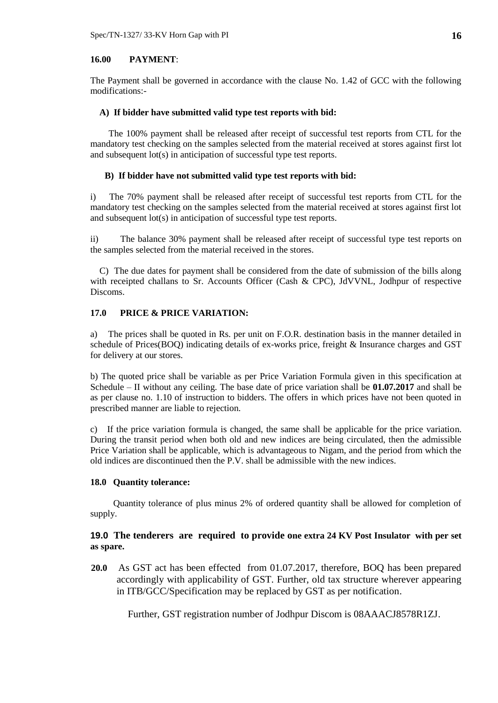#### **16.00 PAYMENT**:

The Payment shall be governed in accordance with the clause No. 1.42 of GCC with the following modifications:-

#### **A) If bidder have submitted valid type test reports with bid:**

The 100% payment shall be released after receipt of successful test reports from CTL for the mandatory test checking on the samples selected from the material received at stores against first lot and subsequent lot(s) in anticipation of successful type test reports.

#### **B) If bidder have not submitted valid type test reports with bid:**

i) The 70% payment shall be released after receipt of successful test reports from CTL for the mandatory test checking on the samples selected from the material received at stores against first lot and subsequent lot(s) in anticipation of successful type test reports.

ii) The balance 30% payment shall be released after receipt of successful type test reports on the samples selected from the material received in the stores.

 C) The due dates for payment shall be considered from the date of submission of the bills along with receipted challans to Sr. Accounts Officer (Cash & CPC), JdVVNL, Jodhpur of respective Discoms.

## **17.0 PRICE & PRICE VARIATION:**

a) The prices shall be quoted in Rs. per unit on F.O.R. destination basis in the manner detailed in schedule of Prices(BOQ) indicating details of ex-works price, freight & Insurance charges and GST for delivery at our stores.

b) The quoted price shall be variable as per Price Variation Formula given in this specification at Schedule – II without any ceiling. The base date of price variation shall be **01.07.2017** and shall be as per clause no. 1.10 of instruction to bidders. The offers in which prices have not been quoted in prescribed manner are liable to rejection.

c) If the price variation formula is changed, the same shall be applicable for the price variation. During the transit period when both old and new indices are being circulated, then the admissible Price Variation shall be applicable, which is advantageous to Nigam, and the period from which the old indices are discontinued then the P.V. shall be admissible with the new indices.

#### **18.0 Quantity tolerance:**

 Quantity tolerance of plus minus 2% of ordered quantity shall be allowed for completion of supply.

## **19.0 The tenderers are required to provide one extra 24 KV Post Insulator with per set as spare.**

 **20.0** As GST act has been effected from 01.07.2017, therefore, BOQ has been prepared accordingly with applicability of GST. Further, old tax structure wherever appearing in ITB/GCC/Specification may be replaced by GST as per notification.

Further, GST registration number of Jodhpur Discom is 08AAACJ8578R1ZJ.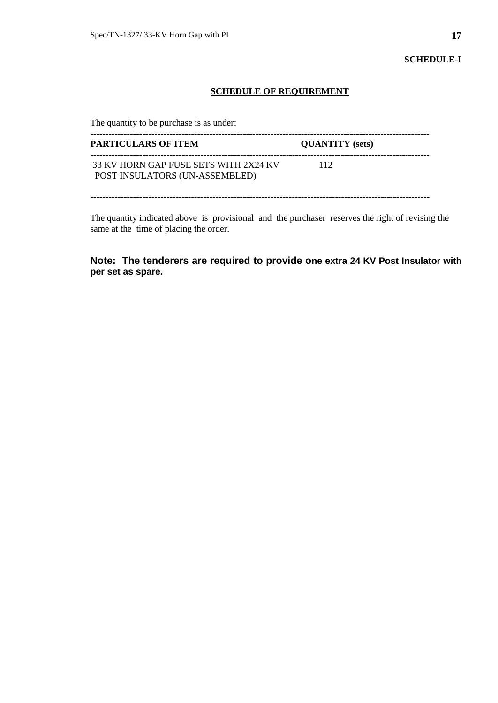**SCHEDULE-I**

## **SCHEDULE OF REQUIREMENT**

The quantity to be purchase is as under:

| <b>PARTICULARS OF ITEM</b>                                              | <b>QUANTITY</b> (sets) |  |
|-------------------------------------------------------------------------|------------------------|--|
| 33 KV HORN GAP FUSE SETS WITH 2X24 KV<br>POST INSULATORS (UN-ASSEMBLED) | 112                    |  |

The quantity indicated above is provisional and the purchaser reserves the right of revising the same at the time of placing the order.

# **Note: The tenderers are required to provide one extra 24 KV Post Insulator with per set as spare.**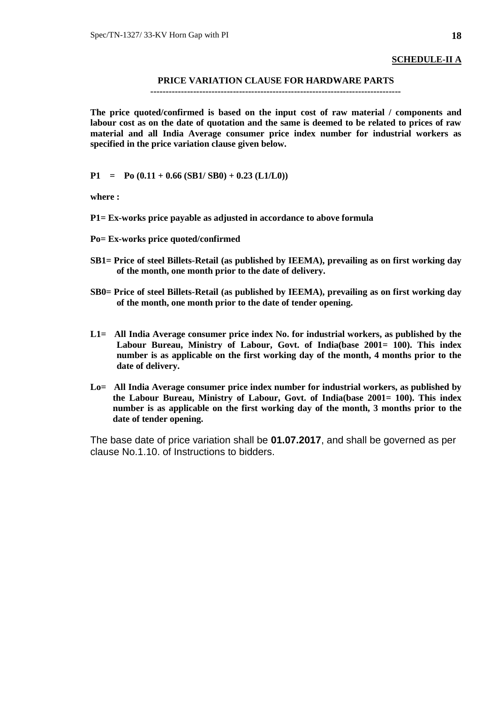## **SCHEDULE-II A**

## **PRICE VARIATION CLAUSE FOR HARDWARE PARTS**

#### **----------------------------------------------------------------------------------**

**The price quoted/confirmed is based on the input cost of raw material / components and labour cost as on the date of quotation and the same is deemed to be related to prices of raw material and all India Average consumer price index number for industrial workers as specified in the price variation clause given below.**

 $P1 = Po (0.11 + 0.66 (SB1/SB0) + 0.23 (L1/L0))$ 

**where :**

- **P1= Ex-works price payable as adjusted in accordance to above formula**
- **Po= Ex-works price quoted/confirmed**
- **SB1= Price of steel Billets-Retail (as published by IEEMA), prevailing as on first working day of the month, one month prior to the date of delivery.**
- **SB0= Price of steel Billets-Retail (as published by IEEMA), prevailing as on first working day of the month, one month prior to the date of tender opening.**
- **L1= All India Average consumer price index No. for industrial workers, as published by the Labour Bureau, Ministry of Labour, Govt. of India(base 2001= 100). This index number is as applicable on the first working day of the month, 4 months prior to the date of delivery.**
- **Lo= All India Average consumer price index number for industrial workers, as published by the Labour Bureau, Ministry of Labour, Govt. of India(base 2001= 100). This index number is as applicable on the first working day of the month, 3 months prior to the date of tender opening.**

The base date of price variation shall be **01.07.2017**, and shall be governed as per clause No.1.10. of Instructions to bidders.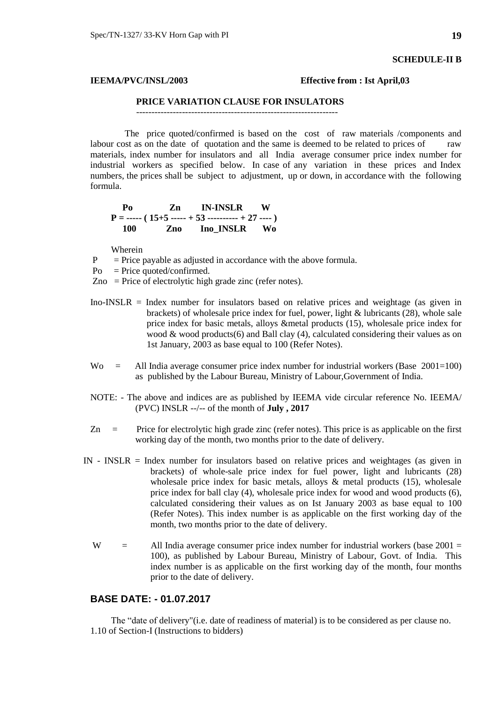#### **SCHEDULE-II B**

#### **IEEMA/PVC/INSL/2003 Effective from : Ist April,03**

## **PRICE VARIATION CLAUSE FOR INSULATORS**

------------------------------------------------------------------

 The price quoted/confirmed is based on the cost of raw materials /components and labour cost as on the date of quotation and the same is deemed to be related to prices of raw materials, index number for insulators and all India average consumer price index number for industrial workers as specified below. In case of any variation in these prices and Index numbers, the prices shall be subject to adjustment, up or down, in accordance with the following formula.

 **Po Zn IN-INSLR W P = ----- ( 15+5 ----- + 53 ---------- + 27 ---- ) 100 Zno Ino\_INSLR Wo**

Wherein

- $P =$  Price payable as adjusted in accordance with the above formula.
- $Po = Price$  quoted/confirmed.
- $Zno = Price of electrolytic high grade zinc (refer notes).$
- Ino-INSLR = Index number for insulators based on relative prices and weightage (as given in brackets) of wholesale price index for fuel, power, light & lubricants (28), whole sale price index for basic metals, alloys &metal products (15), wholesale price index for wood & wood products(6) and Ball clay  $(4)$ , calculated considering their values as on 1st January, 2003 as base equal to 100 (Refer Notes).
- $\text{Wo}$  = All India average consumer price index number for industrial workers (Base 2001=100) as published by the Labour Bureau, Ministry of Labour,Government of India.
- NOTE: The above and indices are as published by IEEMA vide circular reference No. IEEMA/ (PVC) INSLR --/-- of the month of **July , 2017**
- $Zn =$  Price for electrolytic high grade zinc (refer notes). This price is as applicable on the first working day of the month, two months prior to the date of delivery.
- IN INSLR = Index number for insulators based on relative prices and weightages (as given in brackets) of whole-sale price index for fuel power, light and lubricants (28) wholesale price index for basic metals, alloys  $\&$  metal products (15), wholesale price index for ball clay (4), wholesale price index for wood and wood products (6), calculated considering their values as on Ist January 2003 as base equal to 100 (Refer Notes). This index number is as applicable on the first working day of the month, two months prior to the date of delivery.
	- W  $=$  All India average consumer price index number for industrial workers (base 2001 = 100), as published by Labour Bureau, Ministry of Labour, Govt. of India. This index number is as applicable on the first working day of the month, four months prior to the date of delivery.

# **BASE DATE: - 01.07.2017**

 The "date of delivery"(i.e. date of readiness of material) is to be considered as per clause no. 1.10 of Section-I (Instructions to bidders)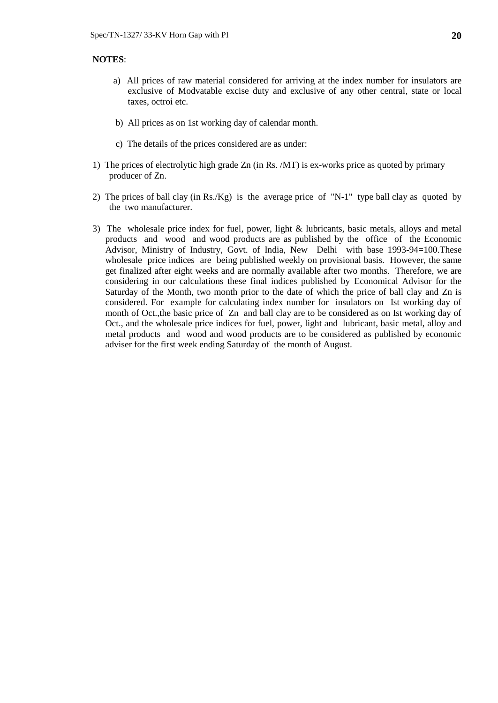## **NOTES**:

- a) All prices of raw material considered for arriving at the index number for insulators are exclusive of Modvatable excise duty and exclusive of any other central, state or local taxes, octroi etc.
- b) All prices as on 1st working day of calendar month.
- c) The details of the prices considered are as under:
- 1) The prices of electrolytic high grade Zn (in Rs. /MT) is ex-works price as quoted by primary producer of Zn.
- 2) The prices of ball clay (in Rs./Kg) is the average price of "N-1" type ball clay as quoted by the two manufacturer.
- 3) The wholesale price index for fuel, power, light & lubricants, basic metals, alloys and metal products and wood and wood products are as published by the office of the Economic Advisor, Ministry of Industry, Govt. of India, New Delhi with base 1993-94=100.These wholesale price indices are being published weekly on provisional basis. However, the same get finalized after eight weeks and are normally available after two months. Therefore, we are considering in our calculations these final indices published by Economical Advisor for the Saturday of the Month, two month prior to the date of which the price of ball clay and Zn is considered. For example for calculating index number for insulators on Ist working day of month of Oct.,the basic price of Zn and ball clay are to be considered as on Ist working day of Oct., and the wholesale price indices for fuel, power, light and lubricant, basic metal, alloy and metal products and wood and wood products are to be considered as published by economic adviser for the first week ending Saturday of the month of August.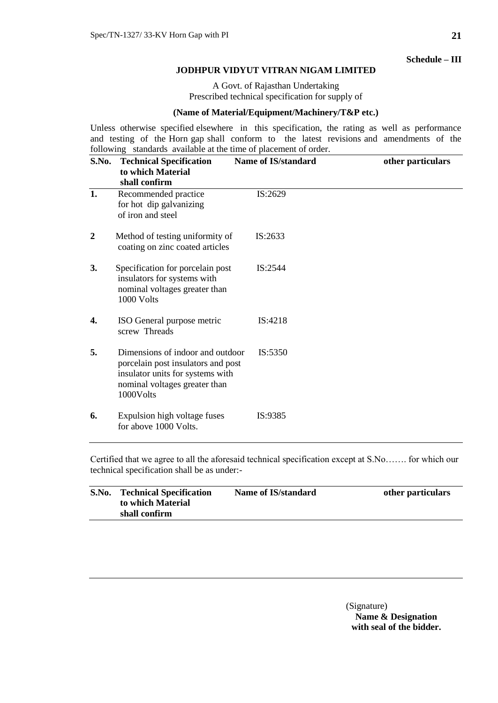**Schedule – III**

#### **JODHPUR VIDYUT VITRAN NIGAM LIMITED**

A Govt. of Rajasthan Undertaking Prescribed technical specification for supply of

## **(Name of Material/Equipment/Machinery/T&P etc.)**

Unless otherwise specified elsewhere in this specification, the rating as well as performance and testing of the Horn gap shall conform to the latest revisions and amendments of the following standards available at the time of placement of order.

| S.No. | <b>Technical Specification</b><br>to which Material<br>shall confirm                                                                                     | <b>Name of IS/standard</b> | other particulars |
|-------|----------------------------------------------------------------------------------------------------------------------------------------------------------|----------------------------|-------------------|
| 1.    | Recommended practice<br>for hot dip galvanizing<br>of iron and steel                                                                                     | IS:2629                    |                   |
| 2     | Method of testing uniformity of<br>coating on zinc coated articles                                                                                       | IS:2633                    |                   |
| 3.    | Specification for porcelain post<br>insulators for systems with<br>nominal voltages greater than<br>1000 Volts                                           | IS:2544                    |                   |
| 4.    | ISO General purpose metric<br>screw Threads                                                                                                              | IS:4218                    |                   |
| 5.    | Dimensions of indoor and outdoor<br>porcelain post insulators and post<br>insulator units for systems with<br>nominal voltages greater than<br>1000Volts | IS:5350                    |                   |
| 6.    | Expulsion high voltage fuses<br>for above 1000 Volts.                                                                                                    | IS:9385                    |                   |

Certified that we agree to all the aforesaid technical specification except at S.No……. for which our technical specification shall be as under:-

| S.No. | <b>Technical Specification</b><br>to which Material | Name of IS/standard | other particulars |
|-------|-----------------------------------------------------|---------------------|-------------------|
|       | shall confirm                                       |                     |                   |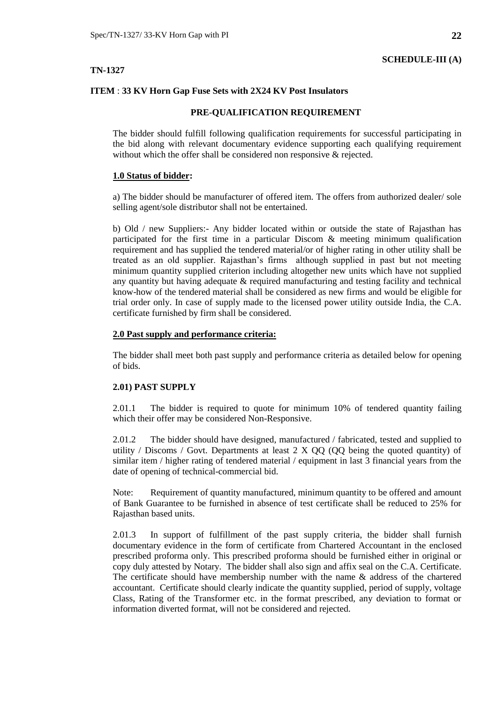## **TN-1327**

## **ITEM** : **33 KV Horn Gap Fuse Sets with 2X24 KV Post Insulators**

## **PRE-QUALIFICATION REQUIREMENT**

The bidder should fulfill following qualification requirements for successful participating in the bid along with relevant documentary evidence supporting each qualifying requirement without which the offer shall be considered non responsive & rejected.

## **1.0 Status of bidder:**

a) The bidder should be manufacturer of offered item. The offers from authorized dealer/ sole selling agent/sole distributor shall not be entertained.

b) Old / new Suppliers:- Any bidder located within or outside the state of Rajasthan has participated for the first time in a particular Discom & meeting minimum qualification requirement and has supplied the tendered material/or of higher rating in other utility shall be treated as an old supplier. Rajasthan's firms although supplied in past but not meeting minimum quantity supplied criterion including altogether new units which have not supplied any quantity but having adequate  $\&$  required manufacturing and testing facility and technical know-how of the tendered material shall be considered as new firms and would be eligible for trial order only. In case of supply made to the licensed power utility outside India, the C.A. certificate furnished by firm shall be considered.

## **2.0 Past supply and performance criteria:**

The bidder shall meet both past supply and performance criteria as detailed below for opening of bids.

## **2.01) PAST SUPPLY**

2.01.1 The bidder is required to quote for minimum 10% of tendered quantity failing which their offer may be considered Non-Responsive.

2.01.2 The bidder should have designed, manufactured / fabricated, tested and supplied to utility / Discoms / Govt. Departments at least  $2 \times QQ$  (QQ being the quoted quantity) of similar item / higher rating of tendered material / equipment in last 3 financial years from the date of opening of technical-commercial bid.

Note: Requirement of quantity manufactured, minimum quantity to be offered and amount of Bank Guarantee to be furnished in absence of test certificate shall be reduced to 25% for Rajasthan based units.

2.01.3 In support of fulfillment of the past supply criteria, the bidder shall furnish documentary evidence in the form of certificate from Chartered Accountant in the enclosed prescribed proforma only. This prescribed proforma should be furnished either in original or copy duly attested by Notary. The bidder shall also sign and affix seal on the C.A. Certificate. The certificate should have membership number with the name & address of the chartered accountant. Certificate should clearly indicate the quantity supplied, period of supply, voltage Class, Rating of the Transformer etc. in the format prescribed, any deviation to format or information diverted format, will not be considered and rejected.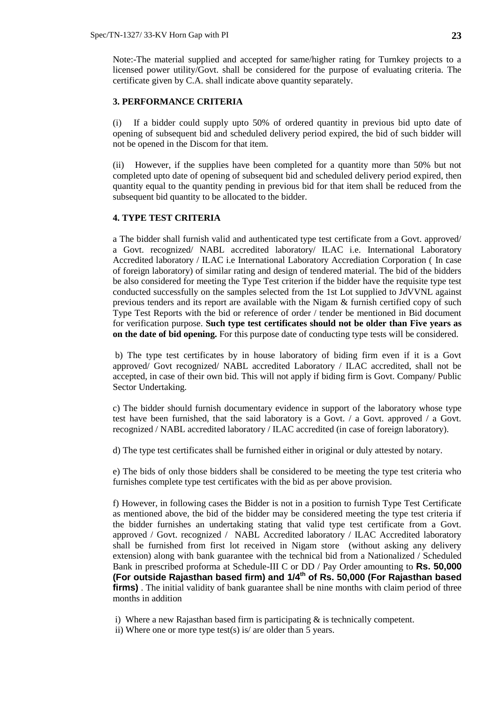Note:-The material supplied and accepted for same/higher rating for Turnkey projects to a licensed power utility/Govt. shall be considered for the purpose of evaluating criteria. The certificate given by C.A. shall indicate above quantity separately.

#### **3. PERFORMANCE CRITERIA**

(i) If a bidder could supply upto 50% of ordered quantity in previous bid upto date of opening of subsequent bid and scheduled delivery period expired, the bid of such bidder will not be opened in the Discom for that item.

(ii) However, if the supplies have been completed for a quantity more than 50% but not completed upto date of opening of subsequent bid and scheduled delivery period expired, then quantity equal to the quantity pending in previous bid for that item shall be reduced from the subsequent bid quantity to be allocated to the bidder.

### **4. TYPE TEST CRITERIA**

a The bidder shall furnish valid and authenticated type test certificate from a Govt. approved/ a Govt. recognized/ NABL accredited laboratory/ ILAC i.e. International Laboratory Accredited laboratory / ILAC i.e International Laboratory Accrediation Corporation ( In case of foreign laboratory) of similar rating and design of tendered material. The bid of the bidders be also considered for meeting the Type Test criterion if the bidder have the requisite type test conducted successfully on the samples selected from the 1st Lot supplied to JdVVNL against previous tenders and its report are available with the Nigam & furnish certified copy of such Type Test Reports with the bid or reference of order / tender be mentioned in Bid document for verification purpose. **Such type test certificates should not be older than Five years as on the date of bid opening.** For this purpose date of conducting type tests will be considered.

b) The type test certificates by in house laboratory of biding firm even if it is a Govt approved/ Govt recognized/ NABL accredited Laboratory / ILAC accredited, shall not be accepted, in case of their own bid. This will not apply if biding firm is Govt. Company/ Public Sector Undertaking.

c) The bidder should furnish documentary evidence in support of the laboratory whose type test have been furnished, that the said laboratory is a Govt.  $\ell$  a Govt. approved  $\ell$  a Govt. recognized / NABL accredited laboratory / ILAC accredited (in case of foreign laboratory).

d) The type test certificates shall be furnished either in original or duly attested by notary.

e) The bids of only those bidders shall be considered to be meeting the type test criteria who furnishes complete type test certificates with the bid as per above provision.

f) However, in following cases the Bidder is not in a position to furnish Type Test Certificate as mentioned above, the bid of the bidder may be considered meeting the type test criteria if the bidder furnishes an undertaking stating that valid type test certificate from a Govt. approved / Govt. recognized / NABL Accredited laboratory / ILAC Accredited laboratory shall be furnished from first lot received in Nigam store (without asking any delivery extension) along with bank guarantee with the technical bid from a Nationalized / Scheduled Bank in prescribed proforma at Schedule-III C or DD / Pay Order amounting to **Rs. 50,000 (For outside Rajasthan based firm) and 1/4th of Rs. 50,000 (For Rajasthan based firms)**. The initial validity of bank guarantee shall be nine months with claim period of three months in addition

i) Where a new Rajasthan based firm is participating & is technically competent.

ii) Where one or more type test(s) is/ are older than 5 years.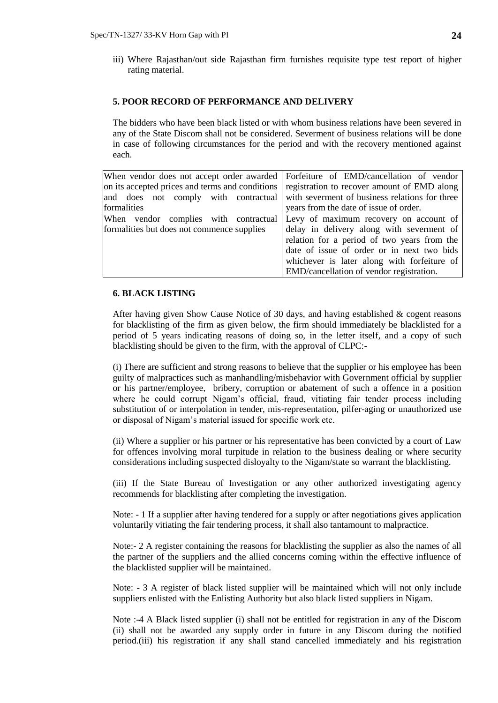iii) Where Rajasthan/out side Rajasthan firm furnishes requisite type test report of higher rating material.

#### **5. POOR RECORD OF PERFORMANCE AND DELIVERY**

The bidders who have been black listed or with whom business relations have been severed in any of the State Discom shall not be considered. Severment of business relations will be done in case of following circumstances for the period and with the recovery mentioned against each.

|                                            | When vendor does not accept order awarded Forfeiture of EMD/cancellation of vendor          |  |  |  |  |
|--------------------------------------------|---------------------------------------------------------------------------------------------|--|--|--|--|
|                                            | on its accepted prices and terms and conditions registration to recover amount of EMD along |  |  |  |  |
|                                            | and does not comply with contractual with severment of business relations for three         |  |  |  |  |
| formalities                                | years from the date of issue of order.                                                      |  |  |  |  |
|                                            | When vendor complies with contractual Levy of maximum recovery on account of                |  |  |  |  |
| formalities but does not commence supplies | delay in delivery along with severment of                                                   |  |  |  |  |
|                                            | relation for a period of two years from the                                                 |  |  |  |  |
|                                            | date of issue of order or in next two bids                                                  |  |  |  |  |
|                                            | whichever is later along with forfeiture of                                                 |  |  |  |  |
|                                            | EMD/cancellation of vendor registration.                                                    |  |  |  |  |
|                                            |                                                                                             |  |  |  |  |

#### **6. BLACK LISTING**

After having given Show Cause Notice of 30 days, and having established & cogent reasons for blacklisting of the firm as given below, the firm should immediately be blacklisted for a period of 5 years indicating reasons of doing so, in the letter itself, and a copy of such blacklisting should be given to the firm, with the approval of CLPC:-

(i) There are sufficient and strong reasons to believe that the supplier or his employee has been guilty of malpractices such as manhandling/misbehavior with Government official by supplier or his partner/employee, bribery, corruption or abatement of such a offence in a position where he could corrupt Nigam's official, fraud, vitiating fair tender process including substitution of or interpolation in tender, mis-representation, pilfer-aging or unauthorized use or disposal of Nigam's material issued for specific work etc.

(ii) Where a supplier or his partner or his representative has been convicted by a court of Law for offences involving moral turpitude in relation to the business dealing or where security considerations including suspected disloyalty to the Nigam/state so warrant the blacklisting.

(iii) If the State Bureau of Investigation or any other authorized investigating agency recommends for blacklisting after completing the investigation.

Note: - 1 If a supplier after having tendered for a supply or after negotiations gives application voluntarily vitiating the fair tendering process, it shall also tantamount to malpractice.

Note:- 2 A register containing the reasons for blacklisting the supplier as also the names of all the partner of the suppliers and the allied concerns coming within the effective influence of the blacklisted supplier will be maintained.

Note: - 3 A register of black listed supplier will be maintained which will not only include suppliers enlisted with the Enlisting Authority but also black listed suppliers in Nigam.

Note :-4 A Black listed supplier (i) shall not be entitled for registration in any of the Discom (ii) shall not be awarded any supply order in future in any Discom during the notified period.(iii) his registration if any shall stand cancelled immediately and his registration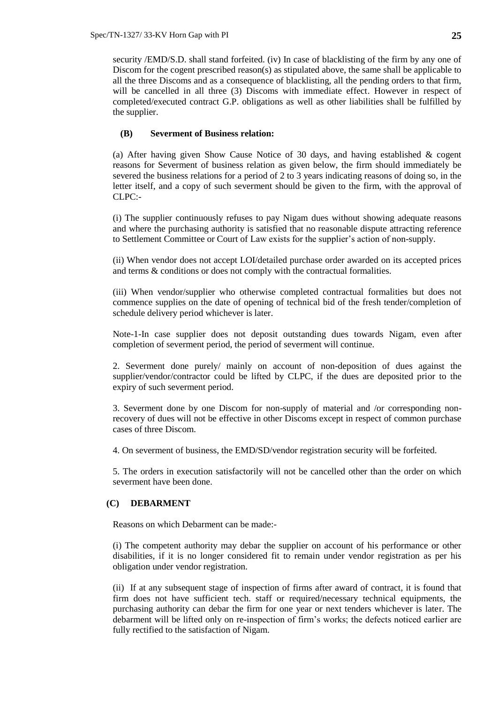security /EMD/S.D. shall stand forfeited. (iv) In case of blacklisting of the firm by any one of Discom for the cogent prescribed reason(s) as stipulated above, the same shall be applicable to all the three Discoms and as a consequence of blacklisting, all the pending orders to that firm, will be cancelled in all three (3) Discoms with immediate effect. However in respect of completed/executed contract G.P. obligations as well as other liabilities shall be fulfilled by the supplier.

#### **(B) Severment of Business relation:**

(a) After having given Show Cause Notice of 30 days, and having established & cogent reasons for Severment of business relation as given below, the firm should immediately be severed the business relations for a period of 2 to 3 years indicating reasons of doing so, in the letter itself, and a copy of such severment should be given to the firm, with the approval of CLPC:-

(i) The supplier continuously refuses to pay Nigam dues without showing adequate reasons and where the purchasing authority is satisfied that no reasonable dispute attracting reference to Settlement Committee or Court of Law exists for the supplier's action of non-supply.

(ii) When vendor does not accept LOI/detailed purchase order awarded on its accepted prices and terms & conditions or does not comply with the contractual formalities.

(iii) When vendor/supplier who otherwise completed contractual formalities but does not commence supplies on the date of opening of technical bid of the fresh tender/completion of schedule delivery period whichever is later.

Note-1-In case supplier does not deposit outstanding dues towards Nigam, even after completion of severment period, the period of severment will continue.

2. Severment done purely/ mainly on account of non-deposition of dues against the supplier/vendor/contractor could be lifted by CLPC, if the dues are deposited prior to the expiry of such severment period.

3. Severment done by one Discom for non-supply of material and /or corresponding nonrecovery of dues will not be effective in other Discoms except in respect of common purchase cases of three Discom.

4. On severment of business, the EMD/SD/vendor registration security will be forfeited.

5. The orders in execution satisfactorily will not be cancelled other than the order on which severment have been done.

#### **(C) DEBARMENT**

Reasons on which Debarment can be made:-

(i) The competent authority may debar the supplier on account of his performance or other disabilities, if it is no longer considered fit to remain under vendor registration as per his obligation under vendor registration.

(ii) If at any subsequent stage of inspection of firms after award of contract, it is found that firm does not have sufficient tech. staff or required/necessary technical equipments, the purchasing authority can debar the firm for one year or next tenders whichever is later. The debarment will be lifted only on re-inspection of firm's works; the defects noticed earlier are fully rectified to the satisfaction of Nigam.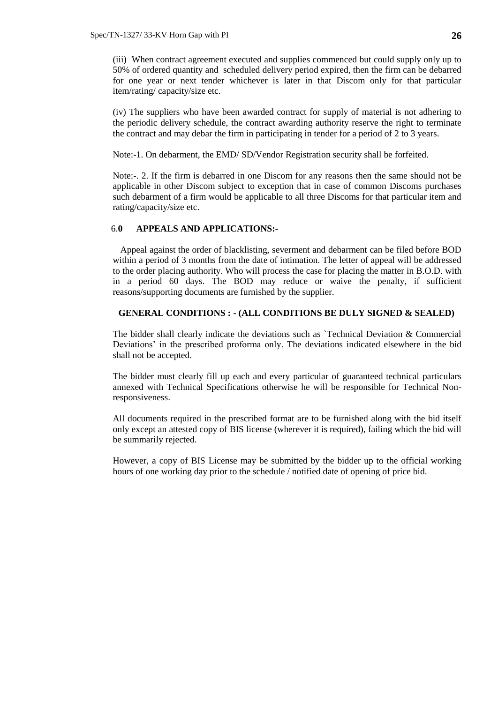(iii) When contract agreement executed and supplies commenced but could supply only up to 50% of ordered quantity and scheduled delivery period expired, then the firm can be debarred for one year or next tender whichever is later in that Discom only for that particular item/rating/ capacity/size etc.

(iv) The suppliers who have been awarded contract for supply of material is not adhering to the periodic delivery schedule, the contract awarding authority reserve the right to terminate the contract and may debar the firm in participating in tender for a period of 2 to 3 years.

Note:-1. On debarment, the EMD/ SD/Vendor Registration security shall be forfeited.

Note:-. 2. If the firm is debarred in one Discom for any reasons then the same should not be applicable in other Discom subject to exception that in case of common Discoms purchases such debarment of a firm would be applicable to all three Discoms for that particular item and rating/capacity/size etc.

## 6.**0 APPEALS AND APPLICATIONS:-**

Appeal against the order of blacklisting, severment and debarment can be filed before BOD within a period of 3 months from the date of intimation. The letter of appeal will be addressed to the order placing authority. Who will process the case for placing the matter in B.O.D. with in a period 60 days. The BOD may reduce or waive the penalty, if sufficient reasons/supporting documents are furnished by the supplier.

### **GENERAL CONDITIONS : - (ALL CONDITIONS BE DULY SIGNED & SEALED)**

The bidder shall clearly indicate the deviations such as `Technical Deviation & Commercial Deviations' in the prescribed proforma only. The deviations indicated elsewhere in the bid shall not be accepted.

The bidder must clearly fill up each and every particular of guaranteed technical particulars annexed with Technical Specifications otherwise he will be responsible for Technical Nonresponsiveness.

All documents required in the prescribed format are to be furnished along with the bid itself only except an attested copy of BIS license (wherever it is required), failing which the bid will be summarily rejected.

However, a copy of BIS License may be submitted by the bidder up to the official working hours of one working day prior to the schedule / notified date of opening of price bid.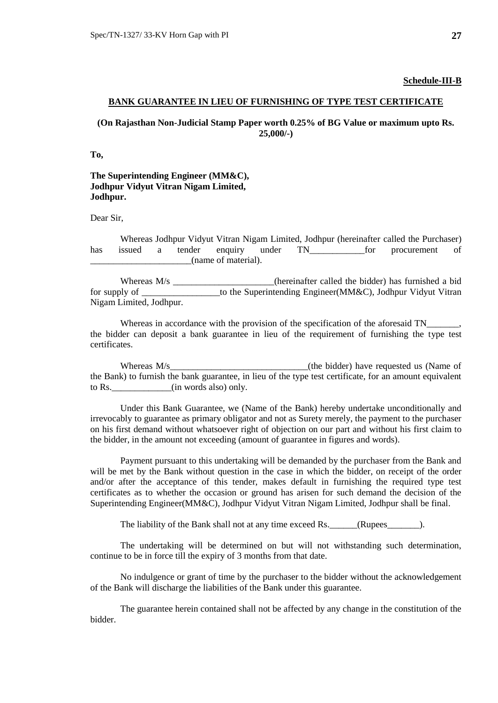#### **Schedule-III-B**

#### **BANK GUARANTEE IN LIEU OF FURNISHING OF TYPE TEST CERTIFICATE**

## **(On Rajasthan Non-Judicial Stamp Paper worth 0.25% of BG Value or maximum upto Rs. 25,000/-)**

**To,**

## **The Superintending Engineer (MM&C), Jodhpur Vidyut Vitran Nigam Limited, Jodhpur.**

Dear Sir,

Whereas Jodhpur Vidyut Vitran Nigam Limited, Jodhpur (hereinafter called the Purchaser) has issued a tender enquiry under TN for procurement of \_\_\_\_\_\_\_\_\_\_\_\_\_\_\_\_\_\_\_\_\_\_(name of material).

Whereas M/s \_\_\_\_\_\_\_\_\_\_\_\_\_\_\_\_\_\_\_\_(hereinafter called the bidder) has furnished a bid for supply of the Superintending Engineer(MM&C), Jodhpur Vidyut Vitran Nigam Limited, Jodhpur.

Whereas in accordance with the provision of the specification of the aforesaid TN\_ the bidder can deposit a bank guarantee in lieu of the requirement of furnishing the type test certificates.

Whereas M/s\_\_\_\_\_\_\_\_\_\_\_\_\_\_\_\_\_\_\_\_\_\_\_\_\_\_\_\_\_\_\_\_\_(the bidder) have requested us (Name of the Bank) to furnish the bank guarantee, in lieu of the type test certificate, for an amount equivalent to Rs.  $\qquad \qquad$  (in words also) only.

Under this Bank Guarantee, we (Name of the Bank) hereby undertake unconditionally and irrevocably to guarantee as primary obligator and not as Surety merely, the payment to the purchaser on his first demand without whatsoever right of objection on our part and without his first claim to the bidder, in the amount not exceeding (amount of guarantee in figures and words).

Payment pursuant to this undertaking will be demanded by the purchaser from the Bank and will be met by the Bank without question in the case in which the bidder, on receipt of the order and/or after the acceptance of this tender, makes default in furnishing the required type test certificates as to whether the occasion or ground has arisen for such demand the decision of the Superintending Engineer(MM&C), Jodhpur Vidyut Vitran Nigam Limited, Jodhpur shall be final.

The liability of the Bank shall not at any time exceed Rs. \_\_\_\_\_\_(Rupees\_\_\_\_\_\_\_).

The undertaking will be determined on but will not withstanding such determination, continue to be in force till the expiry of 3 months from that date.

No indulgence or grant of time by the purchaser to the bidder without the acknowledgement of the Bank will discharge the liabilities of the Bank under this guarantee.

The guarantee herein contained shall not be affected by any change in the constitution of the bidder.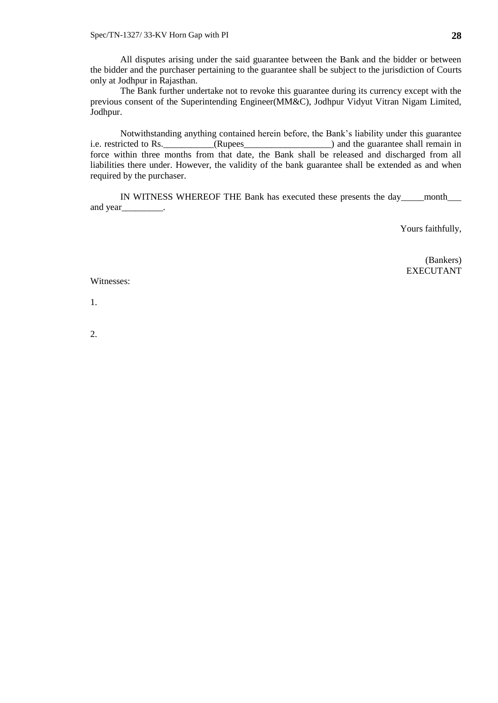All disputes arising under the said guarantee between the Bank and the bidder or between the bidder and the purchaser pertaining to the guarantee shall be subject to the jurisdiction of Courts only at Jodhpur in Rajasthan.

The Bank further undertake not to revoke this guarantee during its currency except with the previous consent of the Superintending Engineer(MM&C), Jodhpur Vidyut Vitran Nigam Limited, Jodhpur.

Notwithstanding anything contained herein before, the Bank's liability under this guarantee i.e. restricted to Rs.\_\_\_\_\_\_\_\_\_\_\_(Rupees\_\_\_\_\_\_\_\_\_\_\_\_\_\_\_\_\_\_\_) and the guarantee shall remain in force within three months from that date, the Bank shall be released and discharged from all liabilities there under. However, the validity of the bank guarantee shall be extended as and when required by the purchaser.

IN WITNESS WHEREOF THE Bank has executed these presents the day\_\_\_\_\_\_ month and year\_\_\_\_\_\_\_\_\_.

Yours faithfully,

(Bankers) EXECUTANT

Witnesses:

1.

2.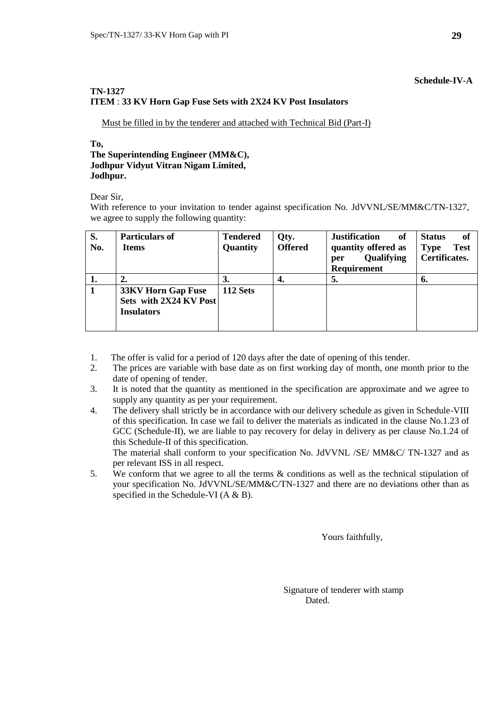## **Schedule-IV-A**

## **TN-1327 ITEM** : **33 KV Horn Gap Fuse Sets with 2X24 KV Post Insulators**

Must be filled in by the tenderer and attached with Technical Bid (Part-I)

## **To,**

#### **The Superintending Engineer (MM&C), Jodhpur Vidyut Vitran Nigam Limited, Jodhpur.**

Dear Sir,

With reference to your invitation to tender against specification No. JdVVNL/SE/MM&C/TN-1327, we agree to supply the following quantity:

| S.<br>No. | <b>Particulars of</b><br><b>Items</b>                                    | <b>Tendered</b><br>Quantity | Qty.<br><b>Offered</b> | <b>Justification</b><br>of<br>quantity offered as<br>Qualifying<br>per<br><b>Requirement</b> | of<br><b>Status</b><br><b>Test</b><br><b>Type</b><br><b>Certificates.</b> |
|-----------|--------------------------------------------------------------------------|-----------------------------|------------------------|----------------------------------------------------------------------------------------------|---------------------------------------------------------------------------|
| 1.        |                                                                          | 3.                          | 4.                     | 5.                                                                                           | 6.                                                                        |
|           | <b>33KV Horn Gap Fuse</b><br>Sets with 2X24 KV Post<br><b>Insulators</b> | 112 Sets                    |                        |                                                                                              |                                                                           |

- 1. The offer is valid for a period of 120 days after the date of opening of this tender.
- 2. The prices are variable with base date as on first working day of month, one month prior to the date of opening of tender.
- 3. It is noted that the quantity as mentioned in the specification are approximate and we agree to supply any quantity as per your requirement.
- 4. The delivery shall strictly be in accordance with our delivery schedule as given in Schedule-VIII of this specification. In case we fail to deliver the materials as indicated in the clause No.1.23 of GCC (Schedule-II), we are liable to pay recovery for delay in delivery as per clause No.1.24 of this Schedule-II of this specification.

The material shall conform to your specification No. JdVVNL /SE/ MM&C/ TN-1327 and as per relevant ISS in all respect.

5. We conform that we agree to all the terms & conditions as well as the technical stipulation of your specification No. JdVVNL/SE/MM&C/TN-1327 and there are no deviations other than as specified in the Schedule-VI (A & B).

Yours faithfully,

 Signature of tenderer with stamp Dated.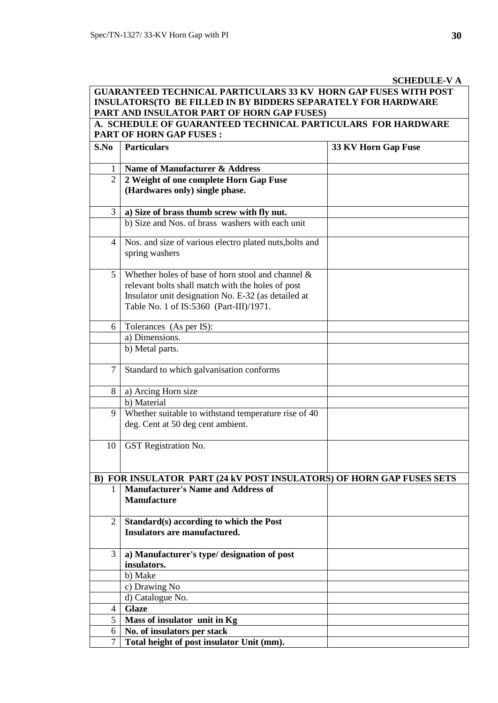# **SCHEDULE-V A**

|                | <b>GUARANTEED TECHNICAL PARTICULARS 33 KV HORN GAP FUSES WITH POST</b><br><b>INSULATORS(TO BE FILLED IN BY BIDDERS SEPARATELY FOR HARDWARE</b><br>PART AND INSULATOR PART OF HORN GAP FUSES)                |                     |
|----------------|-------------------------------------------------------------------------------------------------------------------------------------------------------------------------------------------------------------|---------------------|
|                | A. SCHEDULE OF GUARANTEED TECHNICAL PARTICULARS FOR HARDWARE                                                                                                                                                |                     |
| S.No           | <b>PART OF HORN GAP FUSES:</b><br><b>Particulars</b>                                                                                                                                                        | 33 KV Horn Gap Fuse |
|                | Name of Manufacturer & Address                                                                                                                                                                              |                     |
| $\overline{2}$ | 2 Weight of one complete Horn Gap Fuse<br>(Hardwares only) single phase.                                                                                                                                    |                     |
| 3              | a) Size of brass thumb screw with fly nut.                                                                                                                                                                  |                     |
|                | b) Size and Nos. of brass washers with each unit                                                                                                                                                            |                     |
| 4              | Nos. and size of various electro plated nuts, bolts and<br>spring washers                                                                                                                                   |                     |
| 5              | Whether holes of base of horn stool and channel $\&$<br>relevant bolts shall match with the holes of post<br>Insulator unit designation No. E-32 (as detailed at<br>Table No. 1 of IS:5360 (Part-III)/1971. |                     |
| 6              | Tolerances (As per IS):                                                                                                                                                                                     |                     |
|                | a) Dimensions.                                                                                                                                                                                              |                     |
|                | b) Metal parts.                                                                                                                                                                                             |                     |
| $\overline{7}$ | Standard to which galvanisation conforms                                                                                                                                                                    |                     |
| 8              | a) Arcing Horn size                                                                                                                                                                                         |                     |
|                | b) Material                                                                                                                                                                                                 |                     |
| 9              | Whether suitable to withstand temperature rise of 40<br>deg. Cent at 50 deg cent ambient.                                                                                                                   |                     |
| 10             | GST Registration No.                                                                                                                                                                                        |                     |
|                | B) FOR INSULATOR PART (24 kV POST INSULATORS) OF HORN GAP FUSES SETS                                                                                                                                        |                     |
| 1              | <b>Manufacturer's Name and Address of</b><br><b>Manufacture</b>                                                                                                                                             |                     |
| $\overline{2}$ | Standard(s) according to which the Post<br>Insulators are manufactured.                                                                                                                                     |                     |
| 3              | a) Manufacturer's type/ designation of post<br>insulators.                                                                                                                                                  |                     |
|                | b) Make                                                                                                                                                                                                     |                     |
|                | c) Drawing No                                                                                                                                                                                               |                     |
|                | d) Catalogue No.                                                                                                                                                                                            |                     |
| $\overline{4}$ | <b>Glaze</b>                                                                                                                                                                                                |                     |
| 5              | Mass of insulator unit in Kg                                                                                                                                                                                |                     |
| 6              | No. of insulators per stack                                                                                                                                                                                 |                     |
| $\overline{7}$ | Total height of post insulator Unit (mm).                                                                                                                                                                   |                     |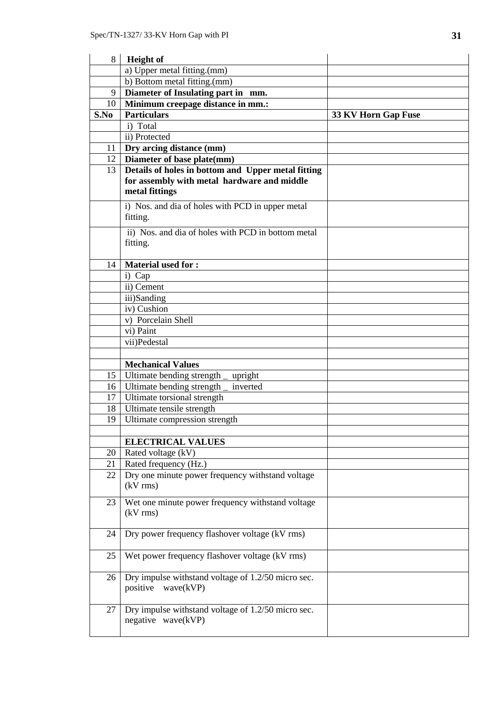| 8               | <b>Height</b> of                                   |                     |
|-----------------|----------------------------------------------------|---------------------|
|                 | a) Upper metal fitting.(mm)                        |                     |
|                 | b) Bottom metal fitting.(mm)                       |                     |
| 9               | Diameter of Insulating part in mm.                 |                     |
| 10              | Minimum creepage distance in mm.:                  |                     |
| S.No            | <b>Particulars</b>                                 | 33 KV Horn Gap Fuse |
|                 | i) Total                                           |                     |
|                 | ii) Protected                                      |                     |
| 11              | Dry arcing distance (mm)                           |                     |
| 12              | Diameter of base plate(mm)                         |                     |
| 13              | Details of holes in bottom and Upper metal fitting |                     |
|                 | for assembly with metal hardware and middle        |                     |
|                 | metal fittings                                     |                     |
|                 | i) Nos. and dia of holes with PCD in upper metal   |                     |
|                 | fitting.                                           |                     |
|                 |                                                    |                     |
|                 | ii) Nos. and dia of holes with PCD in bottom metal |                     |
|                 | fitting.                                           |                     |
| 14              | <b>Material used for:</b>                          |                     |
|                 |                                                    |                     |
|                 | i) Cap<br>ii) Cement                               |                     |
|                 |                                                    |                     |
|                 | iii)Sanding<br>iv) Cushion                         |                     |
|                 | v) Porcelain Shell                                 |                     |
|                 | vi) Paint                                          |                     |
|                 | vii)Pedestal                                       |                     |
|                 |                                                    |                     |
|                 | <b>Mechanical Values</b>                           |                     |
| 15              | Ultimate bending strength<br>upright               |                     |
|                 | 16   Ultimate bending strength<br>inverted         |                     |
| 17 <sup>1</sup> | Ultimate torsional strength                        |                     |
| 18              | Ultimate tensile strength                          |                     |
| 19              | Ultimate compression strength                      |                     |
|                 |                                                    |                     |
|                 | <b>ELECTRICAL VALUES</b>                           |                     |
| 20              | Rated voltage (kV)                                 |                     |
| 21              | Rated frequency (Hz.)                              |                     |
| 22              | Dry one minute power frequency withstand voltage   |                     |
|                 | $(kV$ rms)                                         |                     |
|                 |                                                    |                     |
| 23              | Wet one minute power frequency withstand voltage   |                     |
|                 | $(kV$ rms)                                         |                     |
| 24              | Dry power frequency flashover voltage (kV rms)     |                     |
|                 |                                                    |                     |
| 25              | Wet power frequency flashover voltage (kV rms)     |                     |
|                 |                                                    |                     |
| 26              | Dry impulse withstand voltage of 1.2/50 micro sec. |                     |
|                 | wave(kVP)<br>positive                              |                     |
|                 |                                                    |                     |
| 27              | Dry impulse withstand voltage of 1.2/50 micro sec. |                     |
|                 | negative wave(kVP)                                 |                     |
|                 |                                                    |                     |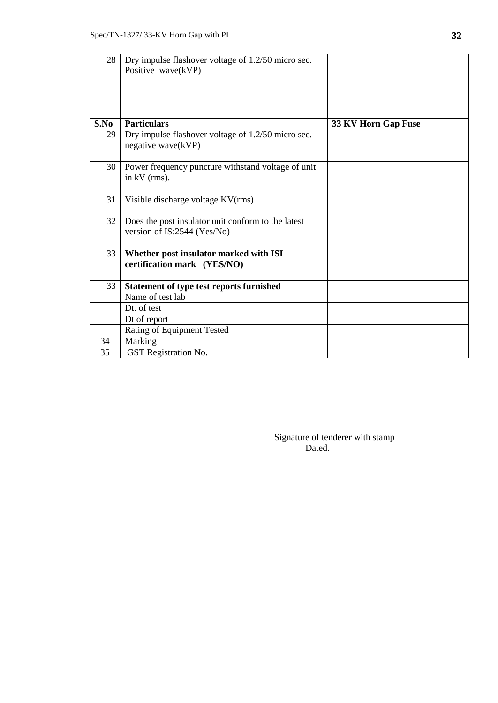| 28   | Dry impulse flashover voltage of 1.2/50 micro sec.<br>Positive wave(kVP)          |                     |
|------|-----------------------------------------------------------------------------------|---------------------|
| S.No | <b>Particulars</b>                                                                | 33 KV Horn Gap Fuse |
| 29   | Dry impulse flashover voltage of 1.2/50 micro sec.<br>negative wave(kVP)          |                     |
| 30   | Power frequency puncture withstand voltage of unit<br>in $kV$ (rms).              |                     |
| 31   | Visible discharge voltage KV(rms)                                                 |                     |
| 32   | Does the post insulator unit conform to the latest<br>version of IS:2544 (Yes/No) |                     |
| 33   | Whether post insulator marked with ISI<br>certification mark (YES/NO)             |                     |
| 33   | <b>Statement of type test reports furnished</b>                                   |                     |
|      | Name of test lab                                                                  |                     |
|      | Dt. of test                                                                       |                     |
|      | Dt of report                                                                      |                     |
|      | Rating of Equipment Tested                                                        |                     |
| 34   | Marking                                                                           |                     |
| 35   | <b>GST</b> Registration No.                                                       |                     |

 Signature of tenderer with stamp Dated.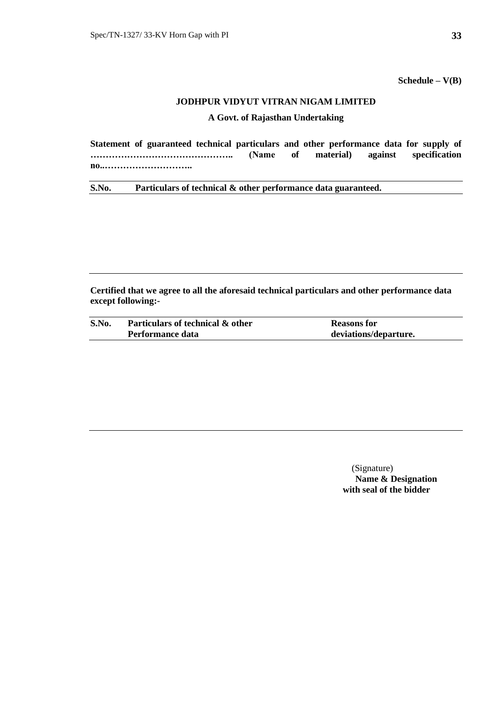**Schedule – V(B)**

## **JODHPUR VIDYUT VITRAN NIGAM LIMITED**

## **A Govt. of Rajasthan Undertaking**

| Statement of guaranteed technical particulars and other performance data for supply of |  |  |  |
|----------------------------------------------------------------------------------------|--|--|--|
|                                                                                        |  |  |  |
| no                                                                                     |  |  |  |

**S.No. Particulars of technical & other performance data guaranteed.**

**Certified that we agree to all the aforesaid technical particulars and other performance data except following:-**

| S.No. | Particulars of technical & other | <b>Reasons</b> for    |
|-------|----------------------------------|-----------------------|
|       | Performance data                 | deviations/departure. |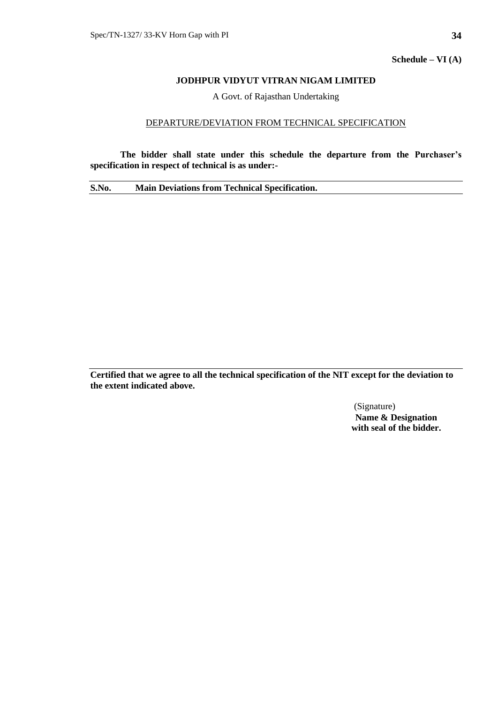**Schedule – VI (A)**

## **JODHPUR VIDYUT VITRAN NIGAM LIMITED**

A Govt. of Rajasthan Undertaking

### DEPARTURE/DEVIATION FROM TECHNICAL SPECIFICATION

**The bidder shall state under this schedule the departure from the Purchaser's specification in respect of technical is as under:-**

**S.No. Main Deviations from Technical Specification.**

**Certified that we agree to all the technical specification of the NIT except for the deviation to the extent indicated above.**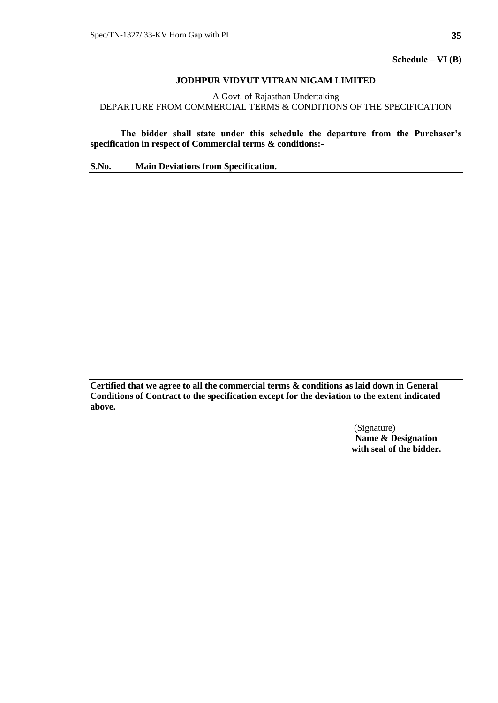**Schedule – VI (B)**

## **JODHPUR VIDYUT VITRAN NIGAM LIMITED**

A Govt. of Rajasthan Undertaking DEPARTURE FROM COMMERCIAL TERMS & CONDITIONS OF THE SPECIFICATION

**The bidder shall state under this schedule the departure from the Purchaser's specification in respect of Commercial terms & conditions:-**

**S.No. Main Deviations from Specification.**

**Certified that we agree to all the commercial terms & conditions as laid down in General Conditions of Contract to the specification except for the deviation to the extent indicated above.**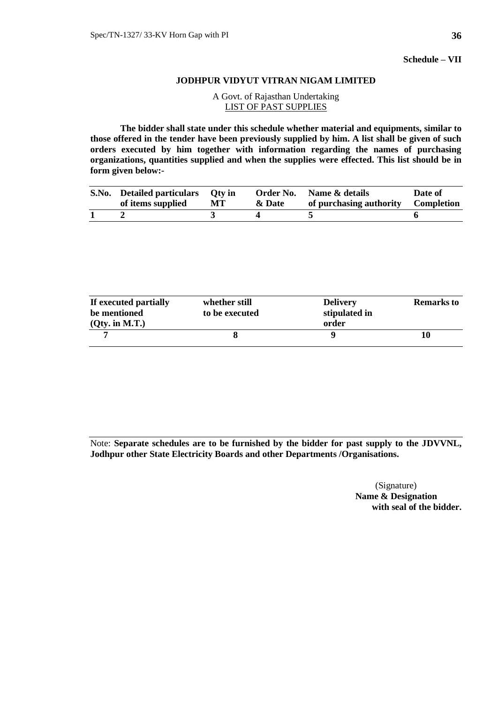**Schedule – VII**

#### **JODHPUR VIDYUT VITRAN NIGAM LIMITED**

## A Govt. of Rajasthan Undertaking LIST OF PAST SUPPLIES

**The bidder shall state under this schedule whether material and equipments, similar to those offered in the tender have been previously supplied by him. A list shall be given of such orders executed by him together with information regarding the names of purchasing organizations, quantities supplied and when the supplies were effected. This list should be in form given below:-**

| S.No. Detailed particulars Oty in<br>of items supplied | MT | & Date | <b>Order No.</b> Name & details<br>of purchasing authority Completion | Date of |
|--------------------------------------------------------|----|--------|-----------------------------------------------------------------------|---------|
|                                                        |    |        |                                                                       |         |

| If executed partially | whether still  | <b>Delivery</b> | <b>Remarks to</b> |
|-----------------------|----------------|-----------------|-------------------|
| be mentioned          | to be executed | stipulated in   |                   |
| $(Qty.$ in M.T. $)$   |                | order           |                   |
|                       |                |                 | I ()              |

Note: **Separate schedules are to be furnished by the bidder for past supply to the JDVVNL, Jodhpur other State Electricity Boards and other Departments /Organisations.**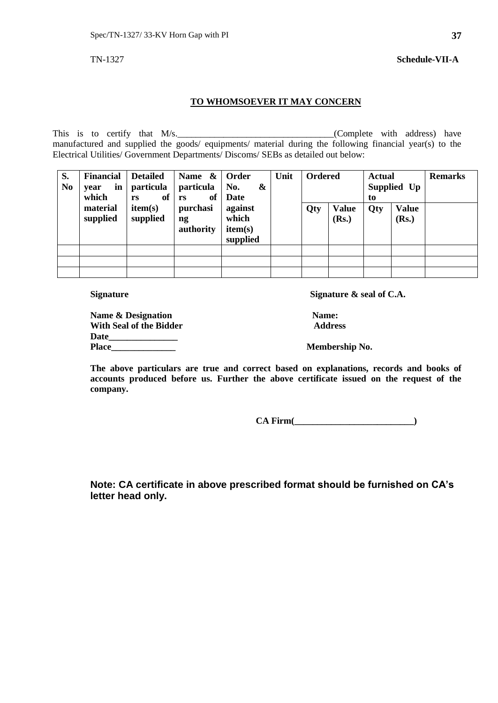## **TO WHOMSOEVER IT MAY CONCERN**

This is to certify that  $M/s$ .  $(Complete with address) have$ manufactured and supplied the goods/ equipments/ material during the following financial year(s) to the Electrical Utilities/ Government Departments/ Discoms/ SEBs as detailed out below:

| S.<br>N <sub>0</sub> | <b>Financial</b><br>in<br>vear<br>which | <b>Detailed</b><br><i>particula</i><br>of<br>rs | Name $\&$<br>particula<br>of<br>rs      | Order<br>No.<br>&<br>Date               | Unit | <b>Ordered</b> |                       | <b>Actual</b><br>to | Supplied Up           | <b>Remarks</b> |
|----------------------|-----------------------------------------|-------------------------------------------------|-----------------------------------------|-----------------------------------------|------|----------------|-----------------------|---------------------|-----------------------|----------------|
|                      | material<br>supplied                    | item(s)<br>supplied                             | purchasi<br>$\mathbf{n}$ g<br>authority | against<br>which<br>item(s)<br>supplied |      | Qty            | <b>Value</b><br>(Rs.) | Qty                 | <b>Value</b><br>(Rs.) |                |
|                      |                                         |                                                 |                                         |                                         |      |                |                       |                     |                       |                |
|                      |                                         |                                                 |                                         |                                         |      |                |                       |                     |                       |                |
|                      |                                         |                                                 |                                         |                                         |      |                |                       |                     |                       |                |

Signature Signature  $\alpha$  seal of C.A.

| <b>Name &amp; Designation</b> | <b>Name:</b> |
|-------------------------------|--------------|
| With Seal of the Bidder       | Addre        |
| Date                          |              |
| Place                         | Member       |

**With Seal of the Bidder Address**

**Membership No.** 

**The above particulars are true and correct based on explanations, records and books of accounts produced before us. Further the above certificate issued on the request of the company.**

 **CA Firm(\_\_\_\_\_\_\_\_\_\_\_\_\_\_\_\_\_\_\_\_\_\_\_\_\_\_)**

**Note: CA certificate in above prescribed format should be furnished on CA's letter head only.**

TN-1327 **Schedule-VII-A**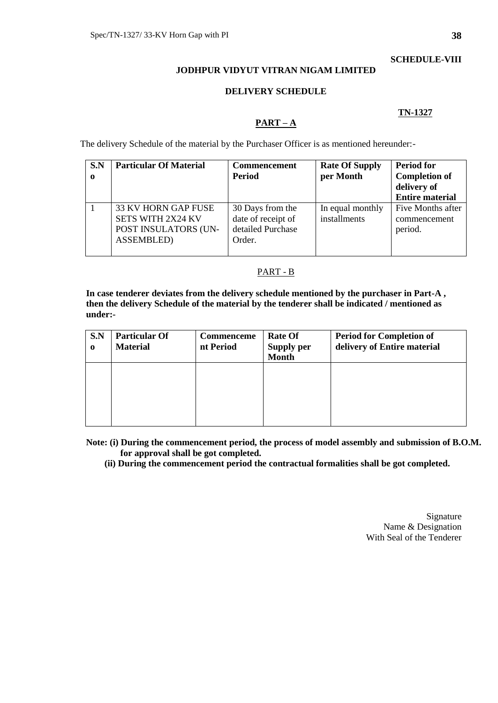## **SCHEDULE-VIII**

## **JODHPUR VIDYUT VITRAN NIGAM LIMITED**

#### **DELIVERY SCHEDULE**

#### **TN-1327**

### **PART – A**

The delivery Schedule of the material by the Purchaser Officer is as mentioned hereunder:-

| S.N<br>$\mathbf o$ | <b>Particular Of Material</b>                                                                       | <b>Commencement</b><br><b>Period</b>                                  | <b>Rate Of Supply</b><br>per Month | <b>Period for</b><br><b>Completion of</b><br>delivery of<br><b>Entire material</b> |
|--------------------|-----------------------------------------------------------------------------------------------------|-----------------------------------------------------------------------|------------------------------------|------------------------------------------------------------------------------------|
|                    | <b>33 KV HORN GAP FUSE</b><br><b>SETS WITH 2X24 KV</b><br>POST INSULATORS (UN-<br><b>ASSEMBLED)</b> | 30 Days from the<br>date of receipt of<br>detailed Purchase<br>Order. | In equal monthly<br>installments   | Five Months after<br>commencement<br>period.                                       |

### PART - B

**In case tenderer deviates from the delivery schedule mentioned by the purchaser in Part-A , then the delivery Schedule of the material by the tenderer shall be indicated / mentioned as under:-**

| S.N<br>$\bf{0}$ | <b>Particular Of</b><br><b>Material</b> | Commenceme<br>nt Period | <b>Rate Of</b><br><b>Supply per</b><br><b>Month</b> | <b>Period for Completion of</b><br>delivery of Entire material |
|-----------------|-----------------------------------------|-------------------------|-----------------------------------------------------|----------------------------------------------------------------|
|                 |                                         |                         |                                                     |                                                                |
|                 |                                         |                         |                                                     |                                                                |

**Note: (i) During the commencement period, the process of model assembly and submission of B.O.M. for approval shall be got completed.**

 **(ii) During the commencement period the contractual formalities shall be got completed.** 

Signature Name & Designation With Seal of the Tenderer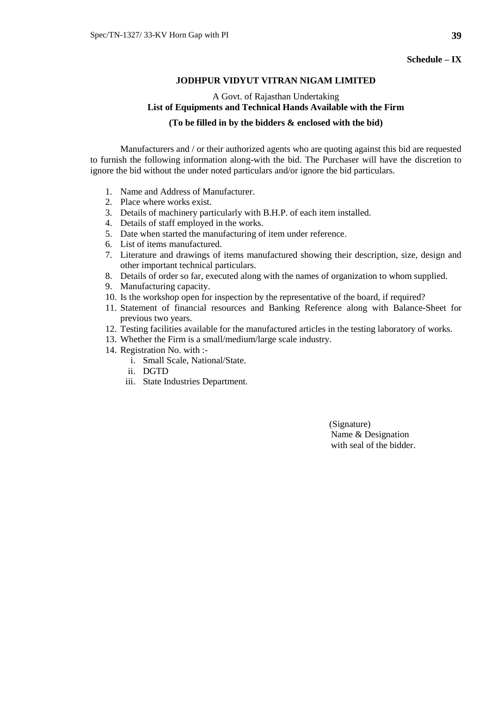### **JODHPUR VIDYUT VITRAN NIGAM LIMITED**

# A Govt. of Rajasthan Undertaking **List of Equipments and Technical Hands Available with the Firm**

## **(To be filled in by the bidders & enclosed with the bid)**

Manufacturers and / or their authorized agents who are quoting against this bid are requested to furnish the following information along-with the bid. The Purchaser will have the discretion to ignore the bid without the under noted particulars and/or ignore the bid particulars.

- 1. Name and Address of Manufacturer.
- 2. Place where works exist.
- 3. Details of machinery particularly with B.H.P. of each item installed.
- 4. Details of staff employed in the works.
- 5. Date when started the manufacturing of item under reference.
- 6. List of items manufactured.
- 7. Literature and drawings of items manufactured showing their description, size, design and other important technical particulars.
- 8. Details of order so far, executed along with the names of organization to whom supplied.
- 9. Manufacturing capacity.
- 10. Is the workshop open for inspection by the representative of the board, if required?
- 11. Statement of financial resources and Banking Reference along with Balance-Sheet for previous two years.
- 12. Testing facilities available for the manufactured articles in the testing laboratory of works.
- 13. Whether the Firm is a small/medium/large scale industry.
- 14. Registration No. with :
	- i. Small Scale, National/State.
	- ii. DGTD
	- iii. State Industries Department.